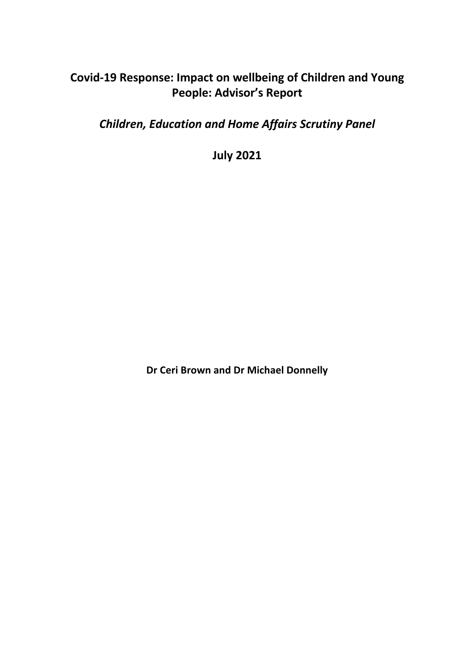# **Covid-19 Response: Impact on wellbeing of Children and Young People: Advisor's Report**

*Children, Education and Home Affairs Scrutiny Panel*

**July 2021**

**Dr Ceri Brown and Dr Michael Donnelly**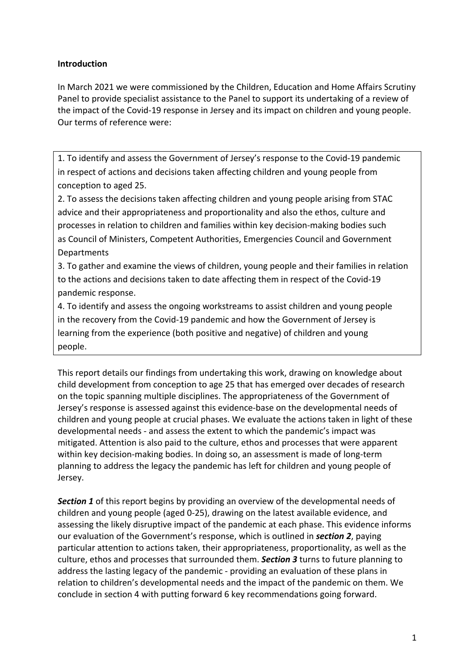## **Introduction**

In March 2021 we were commissioned by the Children, Education and Home Affairs Scrutiny Panel to provide specialist assistance to the Panel to support its undertaking of a review of the impact of the Covid-19 response in Jersey and its impact on children and young people. Our terms of reference were:

1. To identify and assess the Government of Jersey's response to the Covid-19 pandemic in respect of actions and decisions taken affecting children and young people from conception to aged 25.

2. To assess the decisions taken affecting children and young people arising from STAC advice and their appropriateness and proportionality and also the ethos, culture and processes in relation to children and families within key decision-making bodies such as Council of Ministers, Competent Authorities, Emergencies Council and Government **Departments** 

3. To gather and examine the views of children, young people and their families in relation to the actions and decisions taken to date affecting them in respect of the Covid-19 pandemic response.

4. To identify and assess the ongoing workstreams to assist children and young people in the recovery from the Covid-19 pandemic and how the Government of Jersey is learning from the experience (both positive and negative) of children and young people.

This report details our findings from undertaking this work, drawing on knowledge about child development from conception to age 25 that has emerged over decades of research on the topic spanning multiple disciplines. The appropriateness of the Government of Jersey's response is assessed against this evidence-base on the developmental needs of children and young people at crucial phases. We evaluate the actions taken in light of these developmental needs - and assess the extent to which the pandemic's impact was mitigated. Attention is also paid to the culture, ethos and processes that were apparent within key decision-making bodies. In doing so, an assessment is made of long-term planning to address the legacy the pandemic has left for children and young people of Jersey.

*Section 1* of this report begins by providing an overview of the developmental needs of children and young people (aged 0-25), drawing on the latest available evidence, and assessing the likely disruptive impact of the pandemic at each phase. This evidence informs our evaluation of the Government's response, which is outlined in *section 2*, paying particular attention to actions taken, their appropriateness, proportionality, as well as the culture, ethos and processes that surrounded them. *Section 3* turns to future planning to address the lasting legacy of the pandemic - providing an evaluation of these plans in relation to children's developmental needs and the impact of the pandemic on them. We conclude in section 4 with putting forward 6 key recommendations going forward.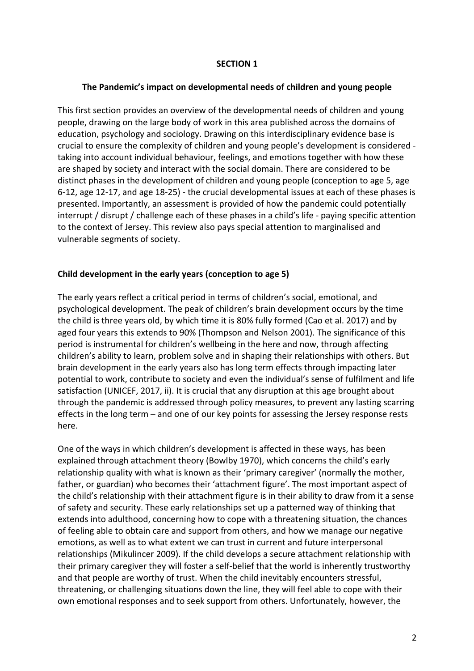#### **SECTION 1**

#### **The Pandemic's impact on developmental needs of children and young people**

This first section provides an overview of the developmental needs of children and young people, drawing on the large body of work in this area published across the domains of education, psychology and sociology. Drawing on this interdisciplinary evidence base is crucial to ensure the complexity of children and young people's development is considered taking into account individual behaviour, feelings, and emotions together with how these are shaped by society and interact with the social domain. There are considered to be distinct phases in the development of children and young people (conception to age 5, age 6-12, age 12-17, and age 18-25) - the crucial developmental issues at each of these phases is presented. Importantly, an assessment is provided of how the pandemic could potentially interrupt / disrupt / challenge each of these phases in a child's life - paying specific attention to the context of Jersey. This review also pays special attention to marginalised and vulnerable segments of society.

#### **Child development in the early years (conception to age 5)**

The early years reflect a critical period in terms of children's social, emotional, and psychological development. The peak of children's brain development occurs by the time the child is three years old, by which time it is 80% fully formed (Cao et al. 2017) and by aged four years this extends to 90% (Thompson and Nelson 2001). The significance of this period is instrumental for children's wellbeing in the here and now, through affecting children's ability to learn, problem solve and in shaping their relationships with others. But brain development in the early years also has long term effects through impacting later potential to work, contribute to society and even the individual's sense of fulfilment and life satisfaction (UNICEF, 2017, ii). It is crucial that any disruption at this age brought about through the pandemic is addressed through policy measures, to prevent any lasting scarring effects in the long term – and one of our key points for assessing the Jersey response rests here.

One of the ways in which children's development is affected in these ways, has been explained through attachment theory (Bowlby 1970), which concerns the child's early relationship quality with what is known as their 'primary caregiver' (normally the mother, father, or guardian) who becomes their 'attachment figure'. The most important aspect of the child's relationship with their attachment figure is in their ability to draw from it a sense of safety and security. These early relationships set up a patterned way of thinking that extends into adulthood, concerning how to cope with a threatening situation, the chances of feeling able to obtain care and support from others, and how we manage our negative emotions, as well as to what extent we can trust in current and future interpersonal relationships (Mikulincer 2009). If the child develops a secure attachment relationship with their primary caregiver they will foster a self-belief that the world is inherently trustworthy and that people are worthy of trust. When the child inevitably encounters stressful, threatening, or challenging situations down the line, they will feel able to cope with their own emotional responses and to seek support from others. Unfortunately, however, the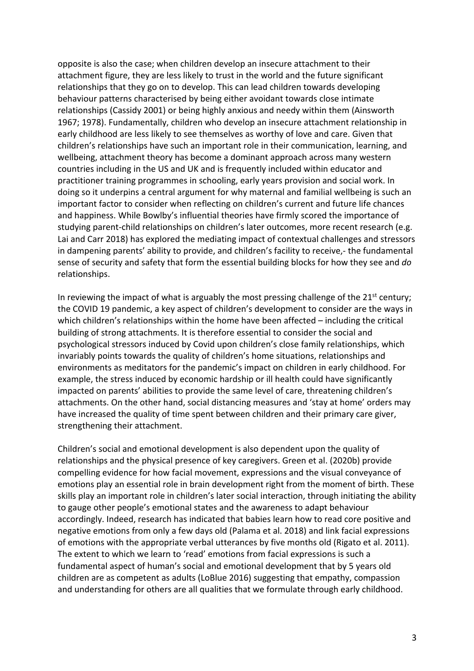opposite is also the case; when children develop an insecure attachment to their attachment figure, they are less likely to trust in the world and the future significant relationships that they go on to develop. This can lead children towards developing behaviour patterns characterised by being either avoidant towards close intimate relationships (Cassidy 2001) or being highly anxious and needy within them (Ainsworth 1967; 1978). Fundamentally, children who develop an insecure attachment relationship in early childhood are less likely to see themselves as worthy of love and care. Given that children's relationships have such an important role in their communication, learning, and wellbeing, attachment theory has become a dominant approach across many western countries including in the US and UK and is frequently included within educator and practitioner training programmes in schooling, early years provision and social work. In doing so it underpins a central argument for why maternal and familial wellbeing is such an important factor to consider when reflecting on children's current and future life chances and happiness. While Bowlby's influential theories have firmly scored the importance of studying parent-child relationships on children's later outcomes, more recent research (e.g. Lai and Carr 2018) has explored the mediating impact of contextual challenges and stressors in dampening parents' ability to provide, and children's facility to receive,- the fundamental sense of security and safety that form the essential building blocks for how they see and *do* relationships.

In reviewing the impact of what is arguably the most pressing challenge of the  $21<sup>st</sup>$  century; the COVID 19 pandemic, a key aspect of children's development to consider are the ways in which children's relationships within the home have been affected – including the critical building of strong attachments. It is therefore essential to consider the social and psychological stressors induced by Covid upon children's close family relationships, which invariably points towards the quality of children's home situations, relationships and environments as meditators for the pandemic's impact on children in early childhood. For example, the stress induced by economic hardship or ill health could have significantly impacted on parents' abilities to provide the same level of care, threatening children's attachments. On the other hand, social distancing measures and 'stay at home' orders may have increased the quality of time spent between children and their primary care giver, strengthening their attachment.

Children's social and emotional development is also dependent upon the quality of relationships and the physical presence of key caregivers. Green et al. (2020b) provide compelling evidence for how facial movement, expressions and the visual conveyance of emotions play an essential role in brain development right from the moment of birth. These skills play an important role in children's later social interaction, through initiating the ability to gauge other people's emotional states and the awareness to adapt behaviour accordingly. Indeed, research has indicated that babies learn how to read core positive and negative emotions from only a few days old (Palama et al. 2018) and link facial expressions of emotions with the appropriate verbal utterances by five months old (Rigato et al. 2011). The extent to which we learn to 'read' emotions from facial expressions is such a fundamental aspect of human's social and emotional development that by 5 years old children are as competent as adults (LoBlue 2016) suggesting that empathy, compassion and understanding for others are all qualities that we formulate through early childhood.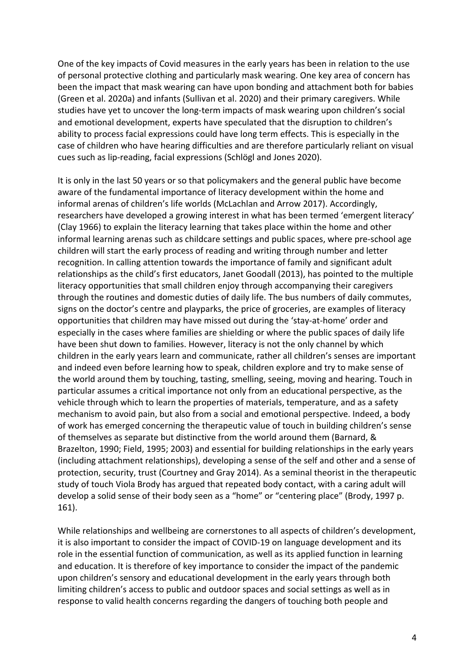One of the key impacts of Covid measures in the early years has been in relation to the use of personal protective clothing and particularly mask wearing. One key area of concern has been the impact that mask wearing can have upon bonding and attachment both for babies (Green et al. 2020a) and infants (Sullivan et al. 2020) and their primary caregivers. While studies have yet to uncover the long-term impacts of mask wearing upon children's social and emotional development, experts have speculated that the disruption to children's ability to process facial expressions could have long term effects. This is especially in the case of children who have hearing difficulties and are therefore particularly reliant on visual cues such as lip-reading, facial expressions (Schlögl and Jones 2020).

It is only in the last 50 years or so that policymakers and the general public have become aware of the fundamental importance of literacy development within the home and informal arenas of children's life worlds (McLachlan and Arrow 2017). Accordingly, researchers have developed a growing interest in what has been termed 'emergent literacy' (Clay 1966) to explain the literacy learning that takes place within the home and other informal learning arenas such as childcare settings and public spaces, where pre-school age children will start the early process of reading and writing through number and letter recognition. In calling attention towards the importance of family and significant adult relationships as the child's first educators, Janet Goodall (2013), has pointed to the multiple literacy opportunities that small children enjoy through accompanying their caregivers through the routines and domestic duties of daily life. The bus numbers of daily commutes, signs on the doctor's centre and playparks, the price of groceries, are examples of literacy opportunities that children may have missed out during the 'stay-at-home' order and especially in the cases where families are shielding or where the public spaces of daily life have been shut down to families. However, literacy is not the only channel by which children in the early years learn and communicate, rather all children's senses are important and indeed even before learning how to speak, children explore and try to make sense of the world around them by touching, tasting, smelling, seeing, moving and hearing. Touch in particular assumes a critical importance not only from an educational perspective, as the vehicle through which to learn the properties of materials, temperature, and as a safety mechanism to avoid pain, but also from a social and emotional perspective. Indeed, a body of work has emerged concerning the therapeutic value of touch in building children's sense of themselves as separate but distinctive from the world around them (Barnard, & Brazelton, 1990; Field, 1995; 2003) and essential for building relationships in the early years (including attachment relationships), developing a sense of the self and other and a sense of protection, security, trust (Courtney and Gray 2014). As a seminal theorist in the therapeutic study of touch Viola Brody has argued that repeated body contact, with a caring adult will develop a solid sense of their body seen as a "home" or "centering place" (Brody, 1997 p. 161).

While relationships and wellbeing are cornerstones to all aspects of children's development, it is also important to consider the impact of COVID-19 on language development and its role in the essential function of communication, as well as its applied function in learning and education. It is therefore of key importance to consider the impact of the pandemic upon children's sensory and educational development in the early years through both limiting children's access to public and outdoor spaces and social settings as well as in response to valid health concerns regarding the dangers of touching both people and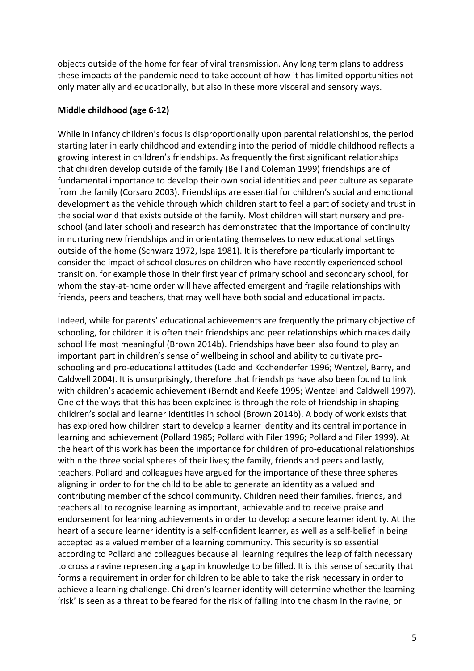objects outside of the home for fear of viral transmission. Any long term plans to address these impacts of the pandemic need to take account of how it has limited opportunities not only materially and educationally, but also in these more visceral and sensory ways.

#### **Middle childhood (age 6-12)**

While in infancy children's focus is disproportionally upon parental relationships, the period starting later in early childhood and extending into the period of middle childhood reflects a growing interest in children's friendships. As frequently the first significant relationships that children develop outside of the family (Bell and Coleman 1999) friendships are of fundamental importance to develop their own social identities and peer culture as separate from the family (Corsaro 2003). Friendships are essential for children's social and emotional development as the vehicle through which children start to feel a part of society and trust in the social world that exists outside of the family. Most children will start nursery and preschool (and later school) and research has demonstrated that the importance of continuity in nurturing new friendships and in orientating themselves to new educational settings outside of the home (Schwarz 1972, Ispa 1981). It is therefore particularly important to consider the impact of school closures on children who have recently experienced school transition, for example those in their first year of primary school and secondary school, for whom the stay-at-home order will have affected emergent and fragile relationships with friends, peers and teachers, that may well have both social and educational impacts.

Indeed, while for parents' educational achievements are frequently the primary objective of schooling, for children it is often their friendships and peer relationships which makes daily school life most meaningful (Brown 2014b). Friendships have been also found to play an important part in children's sense of wellbeing in school and ability to cultivate proschooling and pro-educational attitudes (Ladd and Kochenderfer 1996; Wentzel, Barry, and Caldwell 2004). It is unsurprisingly, therefore that friendships have also been found to link with children's academic achievement (Berndt and Keefe 1995; Wentzel and Caldwell 1997). One of the ways that this has been explained is through the role of friendship in shaping children's social and learner identities in school (Brown 2014b). A body of work exists that has explored how children start to develop a learner identity and its central importance in learning and achievement (Pollard 1985; Pollard with Filer 1996; Pollard and Filer 1999). At the heart of this work has been the importance for children of pro-educational relationships within the three social spheres of their lives; the family, friends and peers and lastly, teachers. Pollard and colleagues have argued for the importance of these three spheres aligning in order to for the child to be able to generate an identity as a valued and contributing member of the school community. Children need their families, friends, and teachers all to recognise learning as important, achievable and to receive praise and endorsement for learning achievements in order to develop a secure learner identity. At the heart of a secure learner identity is a self-confident learner, as well as a self-belief in being accepted as a valued member of a learning community. This security is so essential according to Pollard and colleagues because all learning requires the leap of faith necessary to cross a ravine representing a gap in knowledge to be filled. It is this sense of security that forms a requirement in order for children to be able to take the risk necessary in order to achieve a learning challenge. Children's learner identity will determine whether the learning 'risk' is seen as a threat to be feared for the risk of falling into the chasm in the ravine, or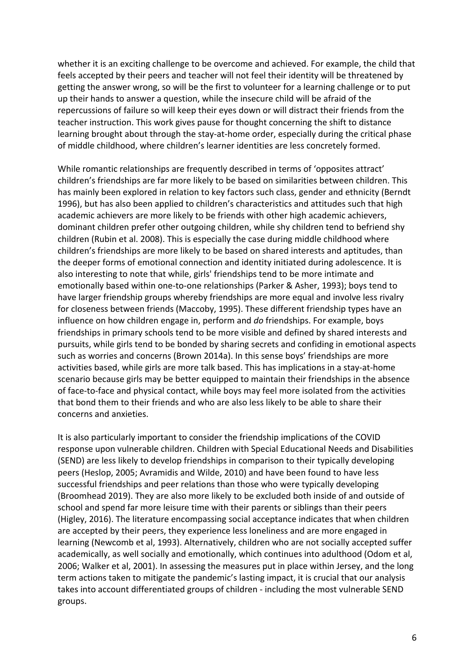whether it is an exciting challenge to be overcome and achieved. For example, the child that feels accepted by their peers and teacher will not feel their identity will be threatened by getting the answer wrong, so will be the first to volunteer for a learning challenge or to put up their hands to answer a question, while the insecure child will be afraid of the repercussions of failure so will keep their eyes down or will distract their friends from the teacher instruction. This work gives pause for thought concerning the shift to distance learning brought about through the stay-at-home order, especially during the critical phase of middle childhood, where children's learner identities are less concretely formed.

While romantic relationships are frequently described in terms of 'opposites attract' children's friendships are far more likely to be based on similarities between children. This has mainly been explored in relation to key factors such class, gender and ethnicity (Berndt 1996), but has also been applied to children's characteristics and attitudes such that high academic achievers are more likely to be friends with other high academic achievers, dominant children prefer other outgoing children, while shy children tend to befriend shy children (Rubin et al. 2008). This is especially the case during middle childhood where children's friendships are more likely to be based on shared interests and aptitudes, than the deeper forms of emotional connection and identity initiated during adolescence. It is also interesting to note that while, girls' friendships tend to be more intimate and emotionally based within one-to-one relationships (Parker & Asher, 1993); boys tend to have larger friendship groups whereby friendships are more equal and involve less rivalry for closeness between friends (Maccoby, 1995). These different friendship types have an influence on how children engage in, perform and *do* friendships. For example, boys friendships in primary schools tend to be more visible and defined by shared interests and pursuits, while girls tend to be bonded by sharing secrets and confiding in emotional aspects such as worries and concerns (Brown 2014a). In this sense boys' friendships are more activities based, while girls are more talk based. This has implications in a stay-at-home scenario because girls may be better equipped to maintain their friendships in the absence of face-to-face and physical contact, while boys may feel more isolated from the activities that bond them to their friends and who are also less likely to be able to share their concerns and anxieties.

It is also particularly important to consider the friendship implications of the COVID response upon vulnerable children. Children with Special Educational Needs and Disabilities (SEND) are less likely to develop friendships in comparison to their typically developing peers (Heslop, 2005; Avramidis and Wilde, 2010) and have been found to have less successful friendships and peer relations than those who were typically developing (Broomhead 2019). They are also more likely to be excluded both inside of and outside of school and spend far more leisure time with their parents or siblings than their peers (Higley, 2016). The literature encompassing social acceptance indicates that when children are accepted by their peers, they experience less loneliness and are more engaged in learning (Newcomb et al, 1993). Alternatively, children who are not socially accepted suffer academically, as well socially and emotionally, which continues into adulthood (Odom et al, 2006; Walker et al, 2001). In assessing the measures put in place within Jersey, and the long term actions taken to mitigate the pandemic's lasting impact, it is crucial that our analysis takes into account differentiated groups of children - including the most vulnerable SEND groups.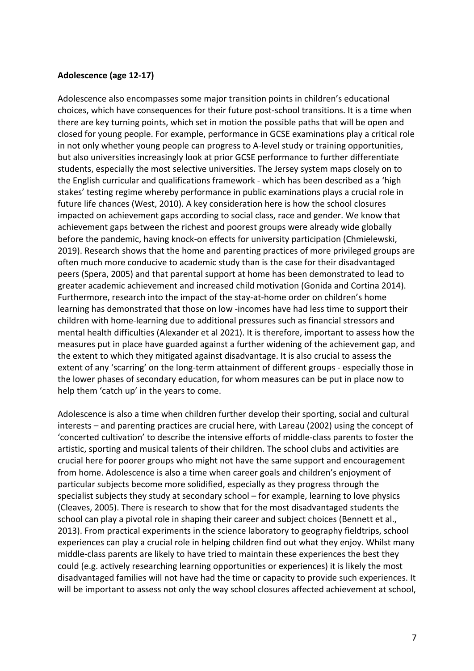#### **Adolescence (age 12-17)**

Adolescence also encompasses some major transition points in children's educational choices, which have consequences for their future post-school transitions. It is a time when there are key turning points, which set in motion the possible paths that will be open and closed for young people. For example, performance in GCSE examinations play a critical role in not only whether young people can progress to A-level study or training opportunities, but also universities increasingly look at prior GCSE performance to further differentiate students, especially the most selective universities. The Jersey system maps closely on to the English curricular and qualifications framework - which has been described as a 'high stakes' testing regime whereby performance in public examinations plays a crucial role in future life chances (West, 2010). A key consideration here is how the school closures impacted on achievement gaps according to social class, race and gender. We know that achievement gaps between the richest and poorest groups were already wide globally before the pandemic, having knock-on effects for university participation (Chmielewski, 2019). Research shows that the home and parenting practices of more privileged groups are often much more conducive to academic study than is the case for their disadvantaged peers (Spera, 2005) and that parental support at home has been demonstrated to lead to greater academic achievement and increased child motivation (Gonida and Cortina 2014). Furthermore, research into the impact of the stay-at-home order on children's home learning has demonstrated that those on low -incomes have had less time to support their children with home-learning due to additional pressures such as financial stressors and mental health difficulties (Alexander et al 2021). It is therefore, important to assess how the measures put in place have guarded against a further widening of the achievement gap, and the extent to which they mitigated against disadvantage. It is also crucial to assess the extent of any 'scarring' on the long-term attainment of different groups - especially those in the lower phases of secondary education, for whom measures can be put in place now to help them 'catch up' in the years to come.

Adolescence is also a time when children further develop their sporting, social and cultural interests – and parenting practices are crucial here, with Lareau (2002) using the concept of 'concerted cultivation' to describe the intensive efforts of middle-class parents to foster the artistic, sporting and musical talents of their children. The school clubs and activities are crucial here for poorer groups who might not have the same support and encouragement from home. Adolescence is also a time when career goals and children's enjoyment of particular subjects become more solidified, especially as they progress through the specialist subjects they study at secondary school – for example, learning to love physics (Cleaves, 2005). There is research to show that for the most disadvantaged students the school can play a pivotal role in shaping their career and subject choices (Bennett et al., 2013). From practical experiments in the science laboratory to geography fieldtrips, school experiences can play a crucial role in helping children find out what they enjoy. Whilst many middle-class parents are likely to have tried to maintain these experiences the best they could (e.g. actively researching learning opportunities or experiences) it is likely the most disadvantaged families will not have had the time or capacity to provide such experiences. It will be important to assess not only the way school closures affected achievement at school,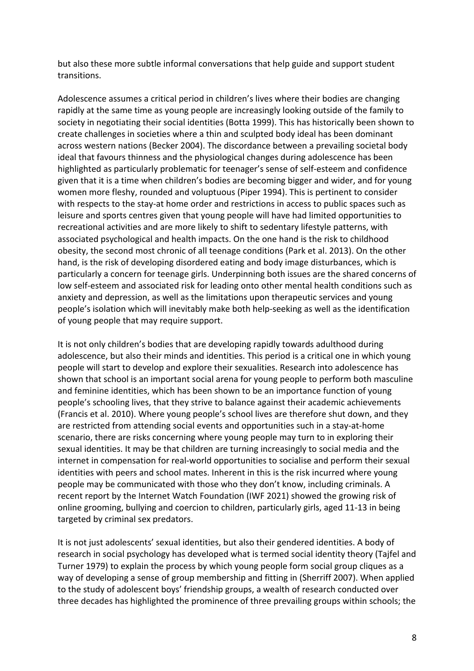but also these more subtle informal conversations that help guide and support student transitions.

Adolescence assumes a critical period in children's lives where their bodies are changing rapidly at the same time as young people are increasingly looking outside of the family to society in negotiating their social identities (Botta 1999). This has historically been shown to create challenges in societies where a thin and sculpted body ideal has been dominant across western nations (Becker 2004). The discordance between a prevailing societal body ideal that favours thinness and the physiological changes during adolescence has been highlighted as particularly problematic for teenager's sense of self-esteem and confidence given that it is a time when children's bodies are becoming bigger and wider, and for young women more fleshy, rounded and voluptuous (Piper 1994). This is pertinent to consider with respects to the stay-at home order and restrictions in access to public spaces such as leisure and sports centres given that young people will have had limited opportunities to recreational activities and are more likely to shift to sedentary lifestyle patterns, with associated psychological and health impacts. On the one hand is the risk to childhood obesity, the second most chronic of all teenage conditions (Park et al. 2013). On the other hand, is the risk of developing disordered eating and body image disturbances, which is particularly a concern for teenage girls. Underpinning both issues are the shared concerns of low self-esteem and associated risk for leading onto other mental health conditions such as anxiety and depression, as well as the limitations upon therapeutic services and young people's isolation which will inevitably make both help-seeking as well as the identification of young people that may require support.

It is not only children's bodies that are developing rapidly towards adulthood during adolescence, but also their minds and identities. This period is a critical one in which young people will start to develop and explore their sexualities. Research into adolescence has shown that school is an important social arena for young people to perform both masculine and feminine identities, which has been shown to be an importance function of young people's schooling lives, that they strive to balance against their academic achievements (Francis et al. 2010). Where young people's school lives are therefore shut down, and they are restricted from attending social events and opportunities such in a stay-at-home scenario, there are risks concerning where young people may turn to in exploring their sexual identities. It may be that children are turning increasingly to social media and the internet in compensation for real-world opportunities to socialise and perform their sexual identities with peers and school mates. Inherent in this is the risk incurred where young people may be communicated with those who they don't know, including criminals. A recent report by the Internet Watch Foundation (IWF 2021) showed the growing risk of online grooming, bullying and coercion to children, particularly girls, aged 11-13 in being targeted by criminal sex predators.

It is not just adolescents' sexual identities, but also their gendered identities. A body of research in social psychology has developed what is termed social identity theory (Tajfel and Turner 1979) to explain the process by which young people form social group cliques as a way of developing a sense of group membership and fitting in (Sherriff 2007). When applied to the study of adolescent boys' friendship groups, a wealth of research conducted over three decades has highlighted the prominence of three prevailing groups within schools; the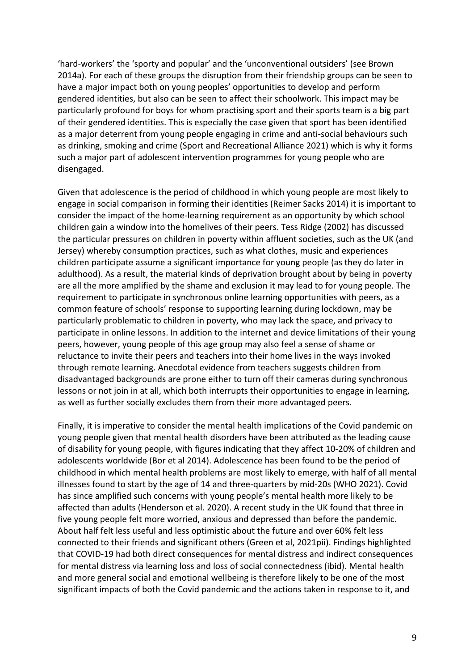'hard-workers' the 'sporty and popular' and the 'unconventional outsiders' (see Brown 2014a). For each of these groups the disruption from their friendship groups can be seen to have a major impact both on young peoples' opportunities to develop and perform gendered identities, but also can be seen to affect their schoolwork. This impact may be particularly profound for boys for whom practising sport and their sports team is a big part of their gendered identities. This is especially the case given that sport has been identified as a major deterrent from young people engaging in crime and anti-social behaviours such as drinking, smoking and crime (Sport and Recreational Alliance 2021) which is why it forms such a major part of adolescent intervention programmes for young people who are disengaged.

Given that adolescence is the period of childhood in which young people are most likely to engage in social comparison in forming their identities (Reimer Sacks 2014) it is important to consider the impact of the home-learning requirement as an opportunity by which school children gain a window into the homelives of their peers. Tess Ridge (2002) has discussed the particular pressures on children in poverty within affluent societies, such as the UK (and Jersey) whereby consumption practices, such as what clothes, music and experiences children participate assume a significant importance for young people (as they do later in adulthood). As a result, the material kinds of deprivation brought about by being in poverty are all the more amplified by the shame and exclusion it may lead to for young people. The requirement to participate in synchronous online learning opportunities with peers, as a common feature of schools' response to supporting learning during lockdown, may be particularly problematic to children in poverty, who may lack the space, and privacy to participate in online lessons. In addition to the internet and device limitations of their young peers, however, young people of this age group may also feel a sense of shame or reluctance to invite their peers and teachers into their home lives in the ways invoked through remote learning. Anecdotal evidence from teachers suggests children from disadvantaged backgrounds are prone either to turn off their cameras during synchronous lessons or not join in at all, which both interrupts their opportunities to engage in learning, as well as further socially excludes them from their more advantaged peers.

Finally, it is imperative to consider the mental health implications of the Covid pandemic on young people given that mental health disorders have been attributed as the leading cause of disability for young people, with figures indicating that they affect 10-20% of children and adolescents worldwide (Bor et al 2014). Adolescence has been found to be the period of childhood in which mental health problems are most likely to emerge, with half of all mental illnesses found to start by the age of 14 and three-quarters by mid-20s (WHO 2021). Covid has since amplified such concerns with young people's mental health more likely to be affected than adults (Henderson et al. 2020). A recent study in the UK found that three in five young people felt more worried, anxious and depressed than before the pandemic. About half felt less useful and less optimistic about the future and over 60% felt less connected to their friends and significant others (Green et al, 2021pii). Findings highlighted that COVID-19 had both direct consequences for mental distress and indirect consequences for mental distress via learning loss and loss of social connectedness (ibid). Mental health and more general social and emotional wellbeing is therefore likely to be one of the most significant impacts of both the Covid pandemic and the actions taken in response to it, and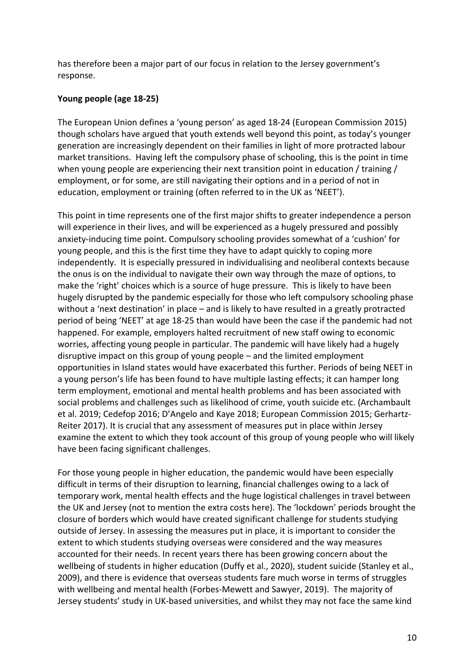has therefore been a major part of our focus in relation to the Jersey government's response.

# **Young people (age 18-25)**

The European Union defines a 'young person' as aged 18-24 (European Commission 2015) though scholars have argued that youth extends well beyond this point, as today's younger generation are increasingly dependent on their families in light of more protracted labour market transitions. Having left the compulsory phase of schooling, this is the point in time when young people are experiencing their next transition point in education / training / employment, or for some, are still navigating their options and in a period of not in education, employment or training (often referred to in the UK as 'NEET').

This point in time represents one of the first major shifts to greater independence a person will experience in their lives, and will be experienced as a hugely pressured and possibly anxiety-inducing time point. Compulsory schooling provides somewhat of a 'cushion' for young people, and this is the first time they have to adapt quickly to coping more independently. It is especially pressured in individualising and neoliberal contexts because the onus is on the individual to navigate their own way through the maze of options, to make the 'right' choices which is a source of huge pressure. This is likely to have been hugely disrupted by the pandemic especially for those who left compulsory schooling phase without a 'next destination' in place – and is likely to have resulted in a greatly protracted period of being 'NEET' at age 18-25 than would have been the case if the pandemic had not happened. For example, employers halted recruitment of new staff owing to economic worries, affecting young people in particular. The pandemic will have likely had a hugely disruptive impact on this group of young people – and the limited employment opportunities in Island states would have exacerbated this further. Periods of being NEET in a young person's life has been found to have multiple lasting effects; it can hamper long term employment, emotional and mental health problems and has been associated with social problems and challenges such as likelihood of crime, youth suicide etc. (Archambault et al. 2019; Cedefop 2016; D'Angelo and Kaye 2018; European Commission 2015; Gerhartz-Reiter 2017). It is crucial that any assessment of measures put in place within Jersey examine the extent to which they took account of this group of young people who will likely have been facing significant challenges.

For those young people in higher education, the pandemic would have been especially difficult in terms of their disruption to learning, financial challenges owing to a lack of temporary work, mental health effects and the huge logistical challenges in travel between the UK and Jersey (not to mention the extra costs here). The 'lockdown' periods brought the closure of borders which would have created significant challenge for students studying outside of Jersey. In assessing the measures put in place, it is important to consider the extent to which students studying overseas were considered and the way measures accounted for their needs. In recent years there has been growing concern about the wellbeing of students in higher education (Duffy et al., 2020), student suicide (Stanley et al., 2009), and there is evidence that overseas students fare much worse in terms of struggles with wellbeing and mental health (Forbes-Mewett and Sawyer, 2019). The majority of Jersey students' study in UK-based universities, and whilst they may not face the same kind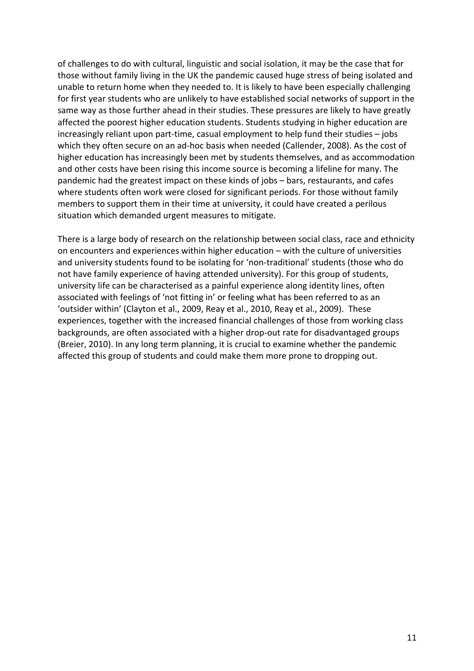of challenges to do with cultural, linguistic and social isolation, it may be the case that for those without family living in the UK the pandemic caused huge stress of being isolated and unable to return home when they needed to. It is likely to have been especially challenging for first year students who are unlikely to have established social networks of support in the same way as those further ahead in their studies. These pressures are likely to have greatly affected the poorest higher education students. Students studying in higher education are increasingly reliant upon part-time, casual employment to help fund their studies – jobs which they often secure on an ad-hoc basis when needed (Callender, 2008). As the cost of higher education has increasingly been met by students themselves, and as accommodation and other costs have been rising this income source is becoming a lifeline for many. The pandemic had the greatest impact on these kinds of jobs – bars, restaurants, and cafes where students often work were closed for significant periods. For those without family members to support them in their time at university, it could have created a perilous situation which demanded urgent measures to mitigate.

There is a large body of research on the relationship between social class, race and ethnicity on encounters and experiences within higher education – with the culture of universities and university students found to be isolating for 'non-traditional' students (those who do not have family experience of having attended university). For this group of students, university life can be characterised as a painful experience along identity lines, often associated with feelings of 'not fitting in' or feeling what has been referred to as an 'outsider within' (Clayton et al., 2009, Reay et al., 2010, Reay et al., 2009). These experiences, together with the increased financial challenges of those from working class backgrounds, are often associated with a higher drop-out rate for disadvantaged groups (Breier, 2010). In any long term planning, it is crucial to examine whether the pandemic affected this group of students and could make them more prone to dropping out.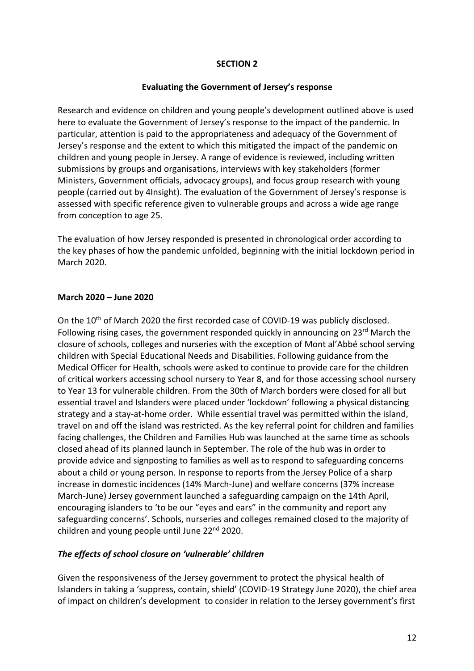#### **SECTION 2**

#### **Evaluating the Government of Jersey's response**

Research and evidence on children and young people's development outlined above is used here to evaluate the Government of Jersey's response to the impact of the pandemic. In particular, attention is paid to the appropriateness and adequacy of the Government of Jersey's response and the extent to which this mitigated the impact of the pandemic on children and young people in Jersey. A range of evidence is reviewed, including written submissions by groups and organisations, interviews with key stakeholders (former Ministers, Government officials, advocacy groups), and focus group research with young people (carried out by 4Insight). The evaluation of the Government of Jersey's response is assessed with specific reference given to vulnerable groups and across a wide age range from conception to age 25.

The evaluation of how Jersey responded is presented in chronological order according to the key phases of how the pandemic unfolded, beginning with the initial lockdown period in March 2020.

#### **March 2020 – June 2020**

On the 10<sup>th</sup> of March 2020 the first recorded case of COVID-19 was publicly disclosed. Following rising cases, the government responded quickly in announcing on 23<sup>rd</sup> March the closure of schools, colleges and nurseries with the exception of Mont al'Abbé school serving children with Special Educational Needs and Disabilities. Following guidance from the Medical Officer for Health, schools were asked to continue to provide care for the children of critical workers accessing school nursery to Year 8, and for those accessing school nursery to Year 13 for vulnerable children. From the 30th of March borders were closed for all but essential travel and Islanders were placed under 'lockdown' following a physical distancing strategy and a stay-at-home order. While essential travel was permitted within the island, travel on and off the island was restricted. As the key referral point for children and families facing challenges, the Children and Families Hub was launched at the same time as schools closed ahead of its planned launch in September. The role of the hub was in order to provide advice and signposting to families as well as to respond to safeguarding concerns about a child or young person. In response to reports from the Jersey Police of a sharp increase in domestic incidences (14% March-June) and welfare concerns (37% increase March-June) Jersey government launched a safeguarding campaign on the 14th April, encouraging islanders to 'to be our "eyes and ears" in the community and report any safeguarding concerns'. Schools, nurseries and colleges remained closed to the majority of children and young people until June 22<sup>nd</sup> 2020.

#### *The effects of school closure on 'vulnerable' children*

Given the responsiveness of the Jersey government to protect the physical health of Islanders in taking a 'suppress, contain, shield' (COVID-19 Strategy June 2020), the chief area of impact on children's development to consider in relation to the Jersey government's first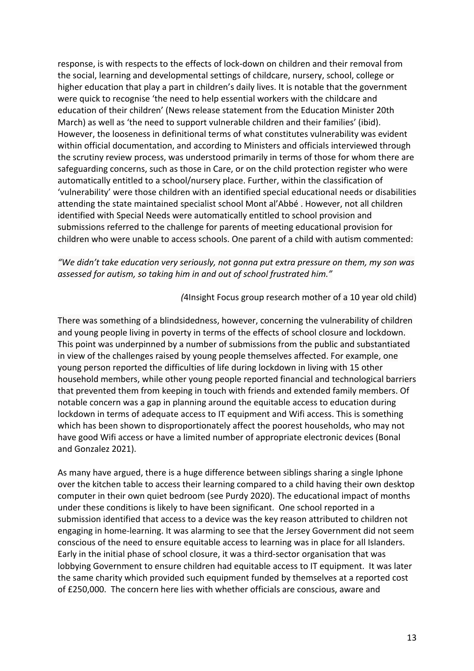response, is with respects to the effects of lock-down on children and their removal from the social, learning and developmental settings of childcare, nursery, school, college or higher education that play a part in children's daily lives. It is notable that the government were quick to recognise 'the need to help essential workers with the childcare and education of their children' (News release statement from the Education Minister 20th March) as well as 'the need to support vulnerable children and their families' (ibid). However, the looseness in definitional terms of what constitutes vulnerability was evident within official documentation, and according to Ministers and officials interviewed through the scrutiny review process, was understood primarily in terms of those for whom there are safeguarding concerns, such as those in Care, or on the child protection register who were automatically entitled to a school/nursery place. Further, within the classification of 'vulnerability' were those children with an identified special educational needs or disabilities attending the state maintained specialist school Mont al'Abbé . However, not all children identified with Special Needs were automatically entitled to school provision and submissions referred to the challenge for parents of meeting educational provision for children who were unable to access schools. One parent of a child with autism commented:

*"We didn't take education very seriously, not gonna put extra pressure on them, my son was assessed for autism, so taking him in and out of school frustrated him."* 

*(*4Insight Focus group research mother of a 10 year old child)

There was something of a blindsidedness, however, concerning the vulnerability of children and young people living in poverty in terms of the effects of school closure and lockdown. This point was underpinned by a number of submissions from the public and substantiated in view of the challenges raised by young people themselves affected. For example, one young person reported the difficulties of life during lockdown in living with 15 other household members, while other young people reported financial and technological barriers that prevented them from keeping in touch with friends and extended family members. Of notable concern was a gap in planning around the equitable access to education during lockdown in terms of adequate access to IT equipment and Wifi access. This is something which has been shown to disproportionately affect the poorest households, who may not have good Wifi access or have a limited number of appropriate electronic devices (Bonal and Gonzalez 2021).

As many have argued, there is a huge difference between siblings sharing a single Iphone over the kitchen table to access their learning compared to a child having their own desktop computer in their own quiet bedroom (see Purdy 2020). The educational impact of months under these conditions is likely to have been significant. One school reported in a submission identified that access to a device was the key reason attributed to children not engaging in home-learning. It was alarming to see that the Jersey Government did not seem conscious of the need to ensure equitable access to learning was in place for all Islanders. Early in the initial phase of school closure, it was a third-sector organisation that was lobbying Government to ensure children had equitable access to IT equipment. It was later the same charity which provided such equipment funded by themselves at a reported cost of £250,000. The concern here lies with whether officials are conscious, aware and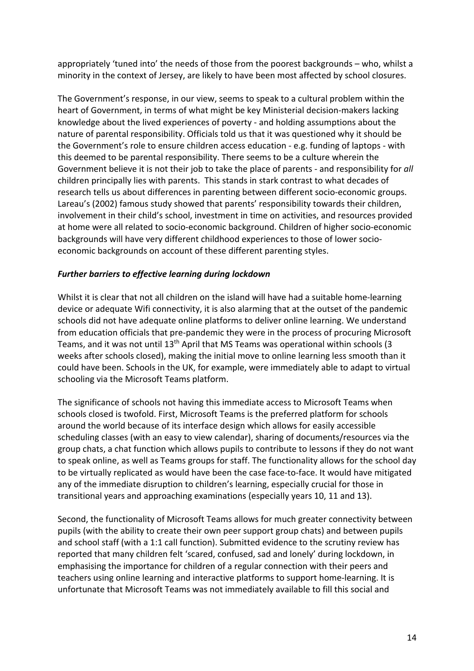appropriately 'tuned into' the needs of those from the poorest backgrounds – who, whilst a minority in the context of Jersey, are likely to have been most affected by school closures.

The Government's response, in our view, seems to speak to a cultural problem within the heart of Government, in terms of what might be key Ministerial decision-makers lacking knowledge about the lived experiences of poverty - and holding assumptions about the nature of parental responsibility. Officials told us that it was questioned why it should be the Government's role to ensure children access education - e.g. funding of laptops - with this deemed to be parental responsibility. There seems to be a culture wherein the Government believe it is not their job to take the place of parents - and responsibility for *all* children principally lies with parents. This stands in stark contrast to what decades of research tells us about differences in parenting between different socio-economic groups. Lareau's (2002) famous study showed that parents' responsibility towards their children, involvement in their child's school, investment in time on activities, and resources provided at home were all related to socio-economic background. Children of higher socio-economic backgrounds will have very different childhood experiences to those of lower socioeconomic backgrounds on account of these different parenting styles.

#### *Further barriers to effective learning during lockdown*

Whilst it is clear that not all children on the island will have had a suitable home-learning device or adequate Wifi connectivity, it is also alarming that at the outset of the pandemic schools did not have adequate online platforms to deliver online learning. We understand from education officials that pre-pandemic they were in the process of procuring Microsoft Teams, and it was not until 13<sup>th</sup> April that MS Teams was operational within schools (3 weeks after schools closed), making the initial move to online learning less smooth than it could have been. Schools in the UK, for example, were immediately able to adapt to virtual schooling via the Microsoft Teams platform.

The significance of schools not having this immediate access to Microsoft Teams when schools closed is twofold. First, Microsoft Teams is the preferred platform for schools around the world because of its interface design which allows for easily accessible scheduling classes (with an easy to view calendar), sharing of documents/resources via the group chats, a chat function which allows pupils to contribute to lessons if they do not want to speak online, as well as Teams groups for staff. The functionality allows for the school day to be virtually replicated as would have been the case face-to-face. It would have mitigated any of the immediate disruption to children's learning, especially crucial for those in transitional years and approaching examinations (especially years 10, 11 and 13).

Second, the functionality of Microsoft Teams allows for much greater connectivity between pupils (with the ability to create their own peer support group chats) and between pupils and school staff (with a 1:1 call function). Submitted evidence to the scrutiny review has reported that many children felt 'scared, confused, sad and lonely' during lockdown, in emphasising the importance for children of a regular connection with their peers and teachers using online learning and interactive platforms to support home-learning. It is unfortunate that Microsoft Teams was not immediately available to fill this social and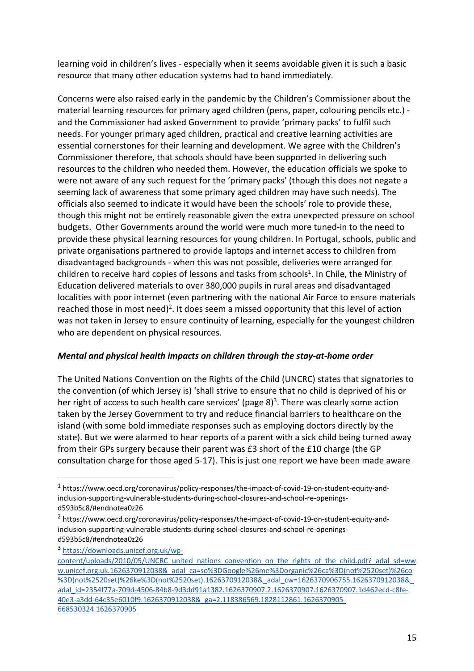learning void in children's lives - especially when it seems avoidable given it is such a basic resource that many other education systems had to hand immediately.

Concerns were also raised early in the pandemic by the Children's Commissioner about the material learning resources for primary aged children (pens, paper, colouring pencils etc.) and the Commissioner had asked Government to provide 'primary packs' to fulfil such needs. For younger primary aged children, practical and creative learning activities are essential cornerstones for their learning and development. We agree with the Children's Commissioner therefore, that schools should have been supported in delivering such resources to the children who needed them. However, the education officials we spoke to were not aware of any such request for the 'primary packs' (though this does not negate a seeming lack of awareness that some primary aged children may have such needs). The officials also seemed to indicate it would have been the schools' role to provide these, though this might not be entirely reasonable given the extra unexpected pressure on school budgets. Other Governments around the world were much more tuned-in to the need to provide these physical learning resources for young children. In Portugal, schools, public and private organisations partnered to provide laptops and internet access to children from disadvantaged backgrounds - when this was not possible, deliveries were arranged for children to receive hard copies of lessons and tasks from schools<sup>1</sup>. In Chile, the Ministry of Education delivered materials to over 380,000 pupils in rural areas and disadvantaged localities with poor internet (even partnering with the national Air Force to ensure materials reached those in most need)<sup>2</sup>. It does seem a missed opportunity that this level of action was not taken in Jersey to ensure continuity of learning, especially for the youngest children who are dependent on physical resources.

## *Mental and physical health impacts on children through the stay-at-home order*

The United Nations Convention on the Rights of the Child (UNCRC) states that signatories to the convention (of which Jersey is) 'shall strive to ensure that no child is deprived of his or her right of access to such health care services' (page 8)<sup>3</sup>. There was clearly some action taken by the Jersey Government to try and reduce financial barriers to healthcare on the island (with some bold immediate responses such as employing doctors directly by the state). But we were alarmed to hear reports of a parent with a sick child being turned away from their GPs surgery because their parent was £3 short of the £10 charge (the GP consultation charge for those aged 5-17). This is just one report we have been made aware

<sup>1</sup> https://www.oecd.org/coronavirus/policy-responses/the-impact-of-covid-19-on-student-equity-andinclusion-supporting-vulnerable-students-during-school-closures-and-school-re-openingsd593b5c8/#endnotea0z26

<sup>2</sup> https://www.oecd.org/coronavirus/policy-responses/the-impact-of-covid-19-on-student-equity-andinclusion-supporting-vulnerable-students-during-school-closures-and-school-re-openingsd593b5c8/#endnotea0z26

<sup>3</sup> https://downloads.unicef.org.uk/wp-

content/uploads/2010/05/UNCRC\_united\_nations\_convention\_on\_the\_rights\_of\_the\_child.pdf?\_adal\_sd=ww w.unicef.org.uk.1626370912038&\_adal\_ca=so%3DGoogle%26me%3Dorganic%26ca%3D(not%2520set)%26co %3D(not%2520set)%26ke%3D(not%2520set).1626370912038&\_adal\_cw=1626370906755.1626370912038&\_ adal\_id=2354f77a-709d-4506-84b8-9d3dd91a1382.1626370907.2.1626370907.1626370907.1d462ecd-c8fe-40e3-a3dd-64c35e6010f9.1626370912038&\_ga=2.118386569.1828112861.1626370905- 668530324.1626370905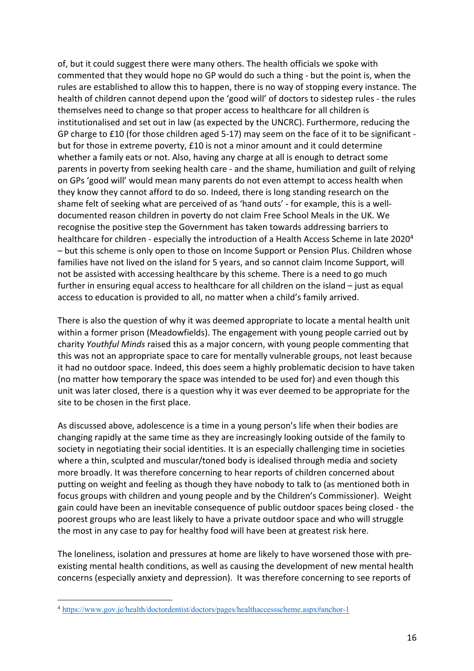of, but it could suggest there were many others. The health officials we spoke with commented that they would hope no GP would do such a thing - but the point is, when the rules are established to allow this to happen, there is no way of stopping every instance. The health of children cannot depend upon the 'good will' of doctors to sidestep rules - the rules themselves need to change so that proper access to healthcare for all children is institutionalised and set out in law (as expected by the UNCRC). Furthermore, reducing the GP charge to £10 (for those children aged 5-17) may seem on the face of it to be significant but for those in extreme poverty, £10 is not a minor amount and it could determine whether a family eats or not. Also, having any charge at all is enough to detract some parents in poverty from seeking health care - and the shame, humiliation and guilt of relying on GPs 'good will' would mean many parents do not even attempt to access health when they know they cannot afford to do so. Indeed, there is long standing research on the shame felt of seeking what are perceived of as 'hand outs' - for example, this is a welldocumented reason children in poverty do not claim Free School Meals in the UK. We recognise the positive step the Government has taken towards addressing barriers to healthcare for children - especially the introduction of a Health Access Scheme in late 2020<sup>4</sup> – but this scheme is only open to those on Income Support or Pension Plus. Children whose families have not lived on the island for 5 years, and so cannot claim Income Support, will not be assisted with accessing healthcare by this scheme. There is a need to go much further in ensuring equal access to healthcare for all children on the island – just as equal access to education is provided to all, no matter when a child's family arrived.

There is also the question of why it was deemed appropriate to locate a mental health unit within a former prison (Meadowfields). The engagement with young people carried out by charity *Youthful Minds* raised this as a major concern, with young people commenting that this was not an appropriate space to care for mentally vulnerable groups, not least because it had no outdoor space. Indeed, this does seem a highly problematic decision to have taken (no matter how temporary the space was intended to be used for) and even though this unit was later closed, there is a question why it was ever deemed to be appropriate for the site to be chosen in the first place.

As discussed above, adolescence is a time in a young person's life when their bodies are changing rapidly at the same time as they are increasingly looking outside of the family to society in negotiating their social identities. It is an especially challenging time in societies where a thin, sculpted and muscular/toned body is idealised through media and society more broadly. It was therefore concerning to hear reports of children concerned about putting on weight and feeling as though they have nobody to talk to (as mentioned both in focus groups with children and young people and by the Children's Commissioner). Weight gain could have been an inevitable consequence of public outdoor spaces being closed - the poorest groups who are least likely to have a private outdoor space and who will struggle the most in any case to pay for healthy food will have been at greatest risk here.

The loneliness, isolation and pressures at home are likely to have worsened those with preexisting mental health conditions, as well as causing the development of new mental health concerns (especially anxiety and depression). It was therefore concerning to see reports of

<sup>4</sup> https://www.gov.je/health/doctordentist/doctors/pages/healthaccessscheme.aspx#anchor-1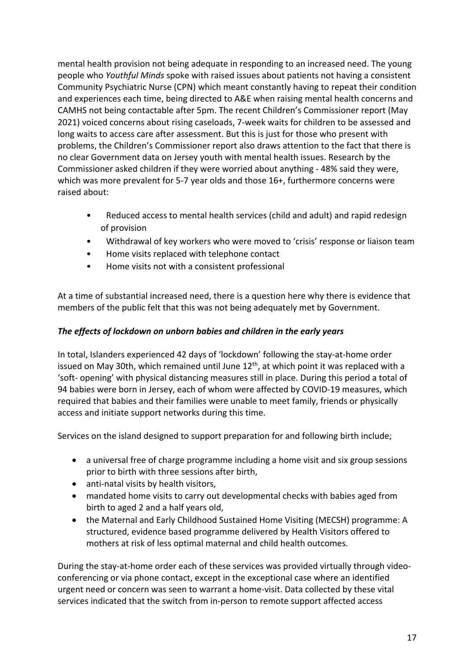mental health provision not being adequate in responding to an increased need. The young people who *Youthful Minds* spoke with raised issues about patients not having a consistent Community Psychiatric Nurse (CPN) which meant constantly having to repeat their condition and experiences each time, being directed to A&E when raising mental health concerns and CAMHS not being contactable after 5pm. The recent Children's Commissioner report (May 2021) voiced concerns about rising caseloads, 7-week waits for children to be assessed and long waits to access care after assessment. But this is just for those who present with problems, the Children's Commissioner report also draws attention to the fact that there is no clear Government data on Jersey youth with mental health issues. Research by the Commissioner asked children if they were worried about anything - 48% said they were, which was more prevalent for 5-7 year olds and those 16+, furthermore concerns were raised about:

- Reduced access to mental health services (child and adult) and rapid redesign of provision
- Withdrawal of key workers who were moved to 'crisis' response or liaison team
- Home visits replaced with telephone contact
- Home visits not with a consistent professional

At a time of substantial increased need, there is a question here why there is evidence that members of the public felt that this was not being adequately met by Government.

# *The effects of lockdown on unborn babies and children in the early years*

In total, Islanders experienced 42 days of 'lockdown' following the stay-at-home order issued on May 30th, which remained until June 12<sup>th</sup>, at which point it was replaced with a 'soft- opening' with physical distancing measures still in place. During this period a total of 94 babies were born in Jersey, each of whom were affected by COVID-19 measures, which required that babies and their families were unable to meet family, friends or physically access and initiate support networks during this time.

Services on the island designed to support preparation for and following birth include;

- a universal free of charge programme including a home visit and six group sessions prior to birth with three sessions after birth,
- anti-natal visits by health visitors,
- mandated home visits to carry out developmental checks with babies aged from birth to aged 2 and a half years old,
- the Maternal and Early Childhood Sustained Home Visiting (MECSH) programme: A structured, evidence based programme delivered by Health Visitors offered to mothers at risk of less optimal maternal and child health outcomes.

During the stay-at-home order each of these services was provided virtually through videoconferencing or via phone contact, except in the exceptional case where an identified urgent need or concern was seen to warrant a home-visit. Data collected by these vital services indicated that the switch from in-person to remote support affected access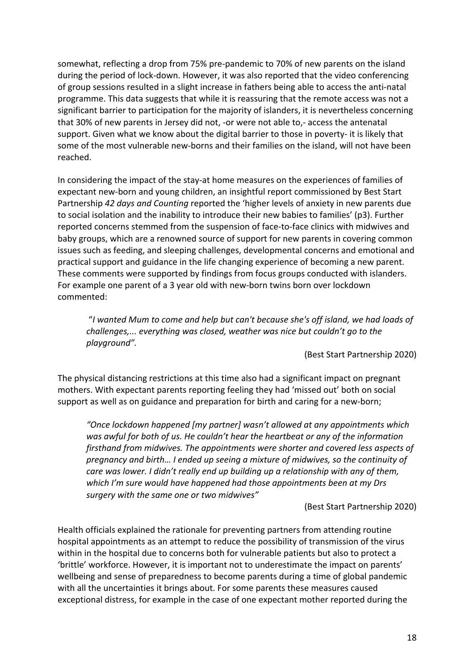somewhat, reflecting a drop from 75% pre-pandemic to 70% of new parents on the island during the period of lock-down. However, it was also reported that the video conferencing of group sessions resulted in a slight increase in fathers being able to access the anti-natal programme. This data suggests that while it is reassuring that the remote access was not a significant barrier to participation for the majority of islanders, it is nevertheless concerning that 30% of new parents in Jersey did not, -or were not able to,- access the antenatal support. Given what we know about the digital barrier to those in poverty- it is likely that some of the most vulnerable new-borns and their families on the island, will not have been reached.

In considering the impact of the stay-at home measures on the experiences of families of expectant new-born and young children, an insightful report commissioned by Best Start Partnership *42 days and Counting* reported the 'higher levels of anxiety in new parents due to social isolation and the inability to introduce their new babies to families' (p3). Further reported concerns stemmed from the suspension of face-to-face clinics with midwives and baby groups, which are a renowned source of support for new parents in covering common issues such as feeding, and sleeping challenges, developmental concerns and emotional and practical support and guidance in the life changing experience of becoming a new parent. These comments were supported by findings from focus groups conducted with islanders. For example one parent of a 3 year old with new-born twins born over lockdown commented:

"*I wanted Mum to come and help but can't because she's off island, we had loads of challenges,... everything was closed, weather was nice but couldn't go to the playground".*

(Best Start Partnership 2020)

The physical distancing restrictions at this time also had a significant impact on pregnant mothers. With expectant parents reporting feeling they had 'missed out' both on social support as well as on guidance and preparation for birth and caring for a new-born;

*"Once lockdown happened [my partner] wasn't allowed at any appointments which was awful for both of us. He couldn't hear the heartbeat or any of the information firsthand from midwives. The appointments were shorter and covered less aspects of pregnancy and birth… I ended up seeing a mixture of midwives, so the continuity of care was lower. I didn't really end up building up a relationship with any of them, which I'm sure would have happened had those appointments been at my Drs surgery with the same one or two midwives"* 

(Best Start Partnership 2020)

Health officials explained the rationale for preventing partners from attending routine hospital appointments as an attempt to reduce the possibility of transmission of the virus within in the hospital due to concerns both for vulnerable patients but also to protect a 'brittle' workforce. However, it is important not to underestimate the impact on parents' wellbeing and sense of preparedness to become parents during a time of global pandemic with all the uncertainties it brings about. For some parents these measures caused exceptional distress, for example in the case of one expectant mother reported during the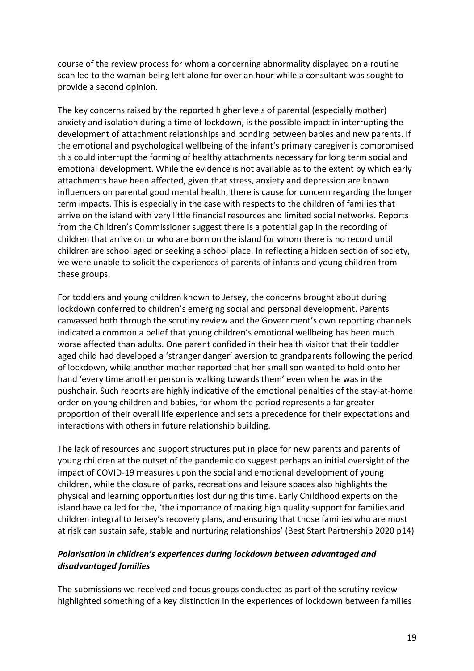course of the review process for whom a concerning abnormality displayed on a routine scan led to the woman being left alone for over an hour while a consultant was sought to provide a second opinion.

The key concerns raised by the reported higher levels of parental (especially mother) anxiety and isolation during a time of lockdown, is the possible impact in interrupting the development of attachment relationships and bonding between babies and new parents. If the emotional and psychological wellbeing of the infant's primary caregiver is compromised this could interrupt the forming of healthy attachments necessary for long term social and emotional development. While the evidence is not available as to the extent by which early attachments have been affected, given that stress, anxiety and depression are known influencers on parental good mental health, there is cause for concern regarding the longer term impacts. This is especially in the case with respects to the children of families that arrive on the island with very little financial resources and limited social networks. Reports from the Children's Commissioner suggest there is a potential gap in the recording of children that arrive on or who are born on the island for whom there is no record until children are school aged or seeking a school place. In reflecting a hidden section of society, we were unable to solicit the experiences of parents of infants and young children from these groups.

For toddlers and young children known to Jersey, the concerns brought about during lockdown conferred to children's emerging social and personal development. Parents canvassed both through the scrutiny review and the Government's own reporting channels indicated a common a belief that young children's emotional wellbeing has been much worse affected than adults. One parent confided in their health visitor that their toddler aged child had developed a 'stranger danger' aversion to grandparents following the period of lockdown, while another mother reported that her small son wanted to hold onto her hand 'every time another person is walking towards them' even when he was in the pushchair. Such reports are highly indicative of the emotional penalties of the stay-at-home order on young children and babies, for whom the period represents a far greater proportion of their overall life experience and sets a precedence for their expectations and interactions with others in future relationship building.

The lack of resources and support structures put in place for new parents and parents of young children at the outset of the pandemic do suggest perhaps an initial oversight of the impact of COVID-19 measures upon the social and emotional development of young children, while the closure of parks, recreations and leisure spaces also highlights the physical and learning opportunities lost during this time. Early Childhood experts on the island have called for the, 'the importance of making high quality support for families and children integral to Jersey's recovery plans, and ensuring that those families who are most at risk can sustain safe, stable and nurturing relationships' (Best Start Partnership 2020 p14)

## *Polarisation in children's experiences during lockdown between advantaged and disadvantaged families*

The submissions we received and focus groups conducted as part of the scrutiny review highlighted something of a key distinction in the experiences of lockdown between families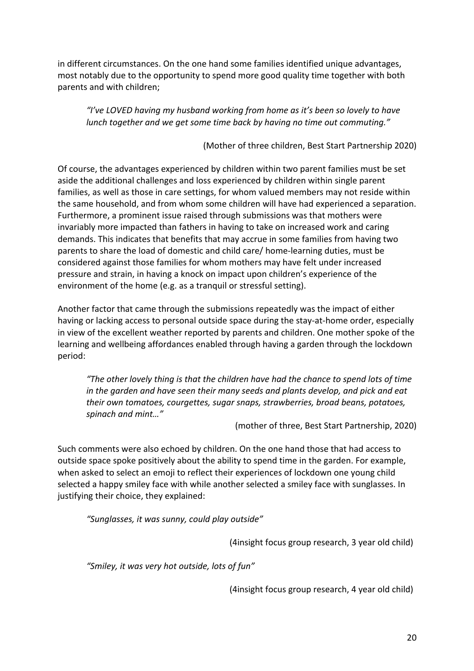in different circumstances. On the one hand some families identified unique advantages, most notably due to the opportunity to spend more good quality time together with both parents and with children;

*"I've LOVED having my husband working from home as it's been so lovely to have lunch together and we get some time back by having no time out commuting."* 

(Mother of three children, Best Start Partnership 2020)

Of course, the advantages experienced by children within two parent families must be set aside the additional challenges and loss experienced by children within single parent families, as well as those in care settings, for whom valued members may not reside within the same household, and from whom some children will have had experienced a separation. Furthermore, a prominent issue raised through submissions was that mothers were invariably more impacted than fathers in having to take on increased work and caring demands. This indicates that benefits that may accrue in some families from having two parents to share the load of domestic and child care/ home-learning duties, must be considered against those families for whom mothers may have felt under increased pressure and strain, in having a knock on impact upon children's experience of the environment of the home (e.g. as a tranquil or stressful setting).

Another factor that came through the submissions repeatedly was the impact of either having or lacking access to personal outside space during the stay-at-home order, especially in view of the excellent weather reported by parents and children. One mother spoke of the learning and wellbeing affordances enabled through having a garden through the lockdown period:

*"The other lovely thing is that the children have had the chance to spend lots of time in the garden and have seen their many seeds and plants develop, and pick and eat their own tomatoes, courgettes, sugar snaps, strawberries, broad beans, potatoes, spinach and mint…"* 

(mother of three, Best Start Partnership, 2020)

Such comments were also echoed by children. On the one hand those that had access to outside space spoke positively about the ability to spend time in the garden. For example, when asked to select an emoji to reflect their experiences of lockdown one young child selected a happy smiley face with while another selected a smiley face with sunglasses. In justifying their choice, they explained:

*"Sunglasses, it was sunny, could play outside"*

(4insight focus group research, 3 year old child)

*"Smiley, it was very hot outside, lots of fun"* 

(4insight focus group research, 4 year old child)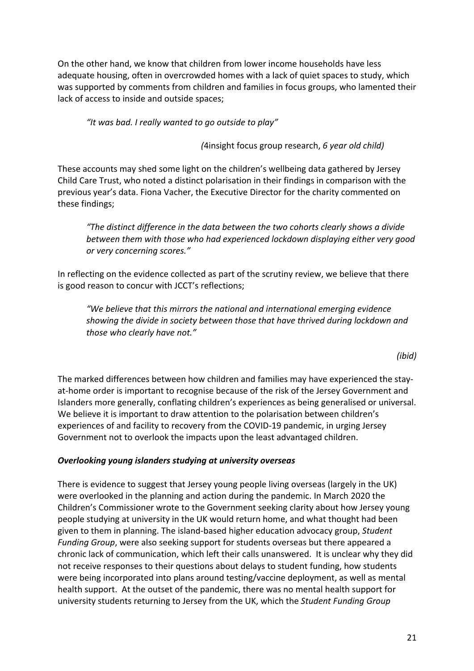On the other hand, we know that children from lower income households have less adequate housing, often in overcrowded homes with a lack of quiet spaces to study, which was supported by comments from children and families in focus groups, who lamented their lack of access to inside and outside spaces;

*"It was bad. I really wanted to go outside to play"* 

*(*4insight focus group research, *6 year old child)*

These accounts may shed some light on the children's wellbeing data gathered by Jersey Child Care Trust, who noted a distinct polarisation in their findings in comparison with the previous year's data. Fiona Vacher, the Executive Director for the charity commented on these findings;

*"The distinct difference in the data between the two cohorts clearly shows a divide between them with those who had experienced lockdown displaying either very good or very concerning scores."*

In reflecting on the evidence collected as part of the scrutiny review, we believe that there is good reason to concur with JCCT's reflections;

*"We believe that this mirrors the national and international emerging evidence showing the divide in society between those that have thrived during lockdown and those who clearly have not."* 

*(ibid)*

The marked differences between how children and families may have experienced the stayat-home order is important to recognise because of the risk of the Jersey Government and Islanders more generally, conflating children's experiences as being generalised or universal. We believe it is important to draw attention to the polarisation between children's experiences of and facility to recovery from the COVID-19 pandemic, in urging Jersey Government not to overlook the impacts upon the least advantaged children.

## *Overlooking young islanders studying at university overseas*

There is evidence to suggest that Jersey young people living overseas (largely in the UK) were overlooked in the planning and action during the pandemic. In March 2020 the Children's Commissioner wrote to the Government seeking clarity about how Jersey young people studying at university in the UK would return home, and what thought had been given to them in planning. The island-based higher education advocacy group, *Student Funding Group*, were also seeking support for students overseas but there appeared a chronic lack of communication, which left their calls unanswered. It is unclear why they did not receive responses to their questions about delays to student funding, how students were being incorporated into plans around testing/vaccine deployment, as well as mental health support. At the outset of the pandemic, there was no mental health support for university students returning to Jersey from the UK, which the *Student Funding Group*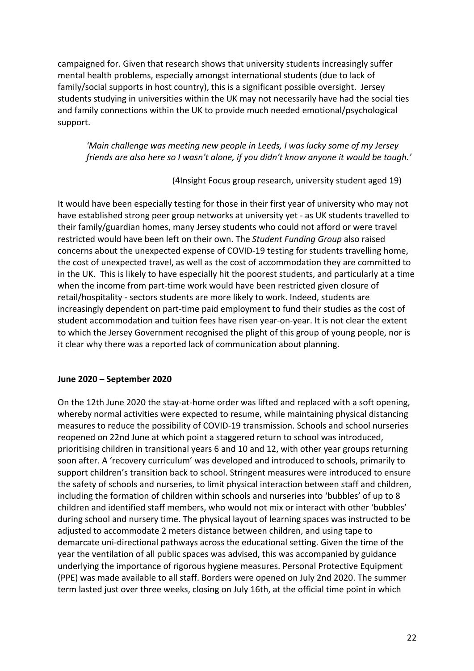campaigned for. Given that research shows that university students increasingly suffer mental health problems, especially amongst international students (due to lack of family/social supports in host country), this is a significant possible oversight. Jersey students studying in universities within the UK may not necessarily have had the social ties and family connections within the UK to provide much needed emotional/psychological support.

*'Main challenge was meeting new people in Leeds, I was lucky some of my Jersey friends are also here so I wasn't alone, if you didn't know anyone it would be tough.'*

(4Insight Focus group research, university student aged 19)

It would have been especially testing for those in their first year of university who may not have established strong peer group networks at university yet - as UK students travelled to their family/guardian homes, many Jersey students who could not afford or were travel restricted would have been left on their own. The *Student Funding Group* also raised concerns about the unexpected expense of COVID-19 testing for students travelling home, the cost of unexpected travel, as well as the cost of accommodation they are committed to in the UK. This is likely to have especially hit the poorest students, and particularly at a time when the income from part-time work would have been restricted given closure of retail/hospitality - sectors students are more likely to work. Indeed, students are increasingly dependent on part-time paid employment to fund their studies as the cost of student accommodation and tuition fees have risen year-on-year. It is not clear the extent to which the Jersey Government recognised the plight of this group of young people, nor is it clear why there was a reported lack of communication about planning.

#### **June 2020 – September 2020**

On the 12th June 2020 the stay-at-home order was lifted and replaced with a soft opening, whereby normal activities were expected to resume, while maintaining physical distancing measures to reduce the possibility of COVID-19 transmission. Schools and school nurseries reopened on 22nd June at which point a staggered return to school was introduced, prioritising children in transitional years 6 and 10 and 12, with other year groups returning soon after. A 'recovery curriculum' was developed and introduced to schools, primarily to support children's transition back to school. Stringent measures were introduced to ensure the safety of schools and nurseries, to limit physical interaction between staff and children, including the formation of children within schools and nurseries into 'bubbles' of up to 8 children and identified staff members, who would not mix or interact with other 'bubbles' during school and nursery time. The physical layout of learning spaces was instructed to be adjusted to accommodate 2 meters distance between children, and using tape to demarcate uni-directional pathways across the educational setting. Given the time of the year the ventilation of all public spaces was advised, this was accompanied by guidance underlying the importance of rigorous hygiene measures. Personal Protective Equipment (PPE) was made available to all staff. Borders were opened on July 2nd 2020. The summer term lasted just over three weeks, closing on July 16th, at the official time point in which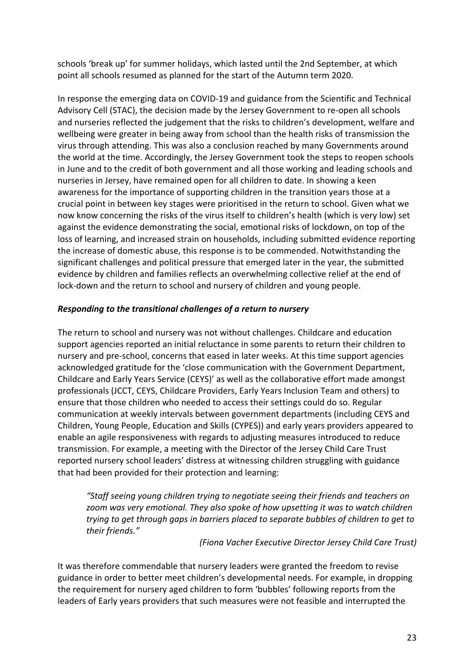schools 'break up' for summer holidays, which lasted until the 2nd September, at which point all schools resumed as planned for the start of the Autumn term 2020.

In response the emerging data on COVID-19 and guidance from the Scientific and Technical Advisory Cell (STAC), the decision made by the Jersey Government to re-open all schools and nurseries reflected the judgement that the risks to children's development, welfare and wellbeing were greater in being away from school than the health risks of transmission the virus through attending. This was also a conclusion reached by many Governments around the world at the time. Accordingly, the Jersey Government took the steps to reopen schools in June and to the credit of both government and all those working and leading schools and nurseries in Jersey, have remained open for all children to date. In showing a keen awareness for the importance of supporting children in the transition years those at a crucial point in between key stages were prioritised in the return to school. Given what we now know concerning the risks of the virus itself to children's health (which is very low) set against the evidence demonstrating the social, emotional risks of lockdown, on top of the loss of learning, and increased strain on households, including submitted evidence reporting the increase of domestic abuse, this response is to be commended. Notwithstanding the significant challenges and political pressure that emerged later in the year, the submitted evidence by children and families reflects an overwhelming collective relief at the end of lock-down and the return to school and nursery of children and young people.

## *Responding to the transitional challenges of a return to nursery*

The return to school and nursery was not without challenges. Childcare and education support agencies reported an initial reluctance in some parents to return their children to nursery and pre-school, concerns that eased in later weeks. At this time support agencies acknowledged gratitude for the 'close communication with the Government Department, Childcare and Early Years Service (CEYS)' as well as the collaborative effort made amongst professionals (JCCT, CEYS, Childcare Providers, Early Years Inclusion Team and others) to ensure that those children who needed to access their settings could do so. Regular communication at weekly intervals between government departments (including CEYS and Children, Young People, Education and Skills (CYPES)) and early years providers appeared to enable an agile responsiveness with regards to adjusting measures introduced to reduce transmission. For example, a meeting with the Director of the Jersey Child Care Trust reported nursery school leaders' distress at witnessing children struggling with guidance that had been provided for their protection and learning:

*"Staff seeing young children trying to negotiate seeing their friends and teachers on zoom was very emotional. They also spoke of how upsetting it was to watch children trying to get through gaps in barriers placed to separate bubbles of children to get to their friends."* 

#### *(Fiona Vacher Executive Director Jersey Child Care Trust)*

It was therefore commendable that nursery leaders were granted the freedom to revise guidance in order to better meet children's developmental needs. For example, in dropping the requirement for nursery aged children to form 'bubbles' following reports from the leaders of Early years providers that such measures were not feasible and interrupted the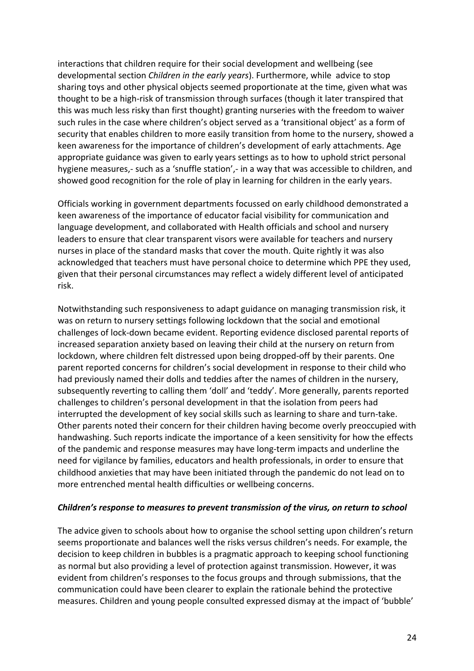interactions that children require for their social development and wellbeing (see developmental section *Children in the early years*). Furthermore, while advice to stop sharing toys and other physical objects seemed proportionate at the time, given what was thought to be a high-risk of transmission through surfaces (though it later transpired that this was much less risky than first thought) granting nurseries with the freedom to waiver such rules in the case where children's object served as a 'transitional object' as a form of security that enables children to more easily transition from home to the nursery, showed a keen awareness for the importance of children's development of early attachments. Age appropriate guidance was given to early years settings as to how to uphold strict personal hygiene measures,- such as a 'snuffle station',- in a way that was accessible to children, and showed good recognition for the role of play in learning for children in the early years.

Officials working in government departments focussed on early childhood demonstrated a keen awareness of the importance of educator facial visibility for communication and language development, and collaborated with Health officials and school and nursery leaders to ensure that clear transparent visors were available for teachers and nursery nurses in place of the standard masks that cover the mouth. Quite rightly it was also acknowledged that teachers must have personal choice to determine which PPE they used, given that their personal circumstances may reflect a widely different level of anticipated risk.

Notwithstanding such responsiveness to adapt guidance on managing transmission risk, it was on return to nursery settings following lockdown that the social and emotional challenges of lock-down became evident. Reporting evidence disclosed parental reports of increased separation anxiety based on leaving their child at the nursery on return from lockdown, where children felt distressed upon being dropped-off by their parents. One parent reported concerns for children's social development in response to their child who had previously named their dolls and teddies after the names of children in the nursery, subsequently reverting to calling them 'doll' and 'teddy'. More generally, parents reported challenges to children's personal development in that the isolation from peers had interrupted the development of key social skills such as learning to share and turn-take. Other parents noted their concern for their children having become overly preoccupied with handwashing. Such reports indicate the importance of a keen sensitivity for how the effects of the pandemic and response measures may have long-term impacts and underline the need for vigilance by families, educators and health professionals, in order to ensure that childhood anxieties that may have been initiated through the pandemic do not lead on to more entrenched mental health difficulties or wellbeing concerns.

#### *Children's response to measures to prevent transmission of the virus, on return to school*

The advice given to schools about how to organise the school setting upon children's return seems proportionate and balances well the risks versus children's needs. For example, the decision to keep children in bubbles is a pragmatic approach to keeping school functioning as normal but also providing a level of protection against transmission. However, it was evident from children's responses to the focus groups and through submissions, that the communication could have been clearer to explain the rationale behind the protective measures. Children and young people consulted expressed dismay at the impact of 'bubble'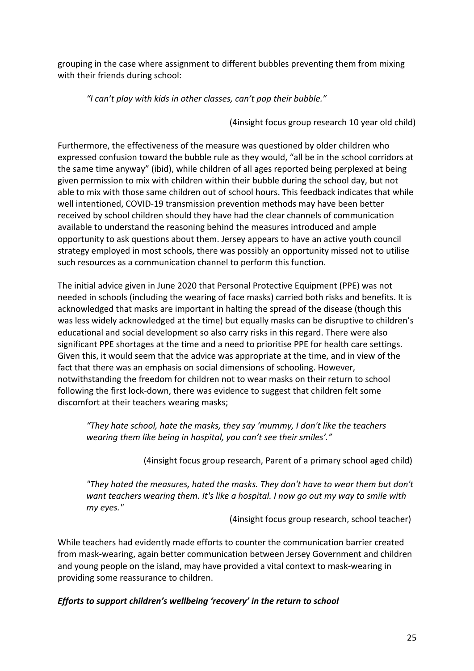grouping in the case where assignment to different bubbles preventing them from mixing with their friends during school:

*"I can't play with kids in other classes, can't pop their bubble."* 

(4insight focus group research 10 year old child)

Furthermore, the effectiveness of the measure was questioned by older children who expressed confusion toward the bubble rule as they would, "all be in the school corridors at the same time anyway" (ibid), while children of all ages reported being perplexed at being given permission to mix with children within their bubble during the school day, but not able to mix with those same children out of school hours. This feedback indicates that while well intentioned, COVID-19 transmission prevention methods may have been better received by school children should they have had the clear channels of communication available to understand the reasoning behind the measures introduced and ample opportunity to ask questions about them. Jersey appears to have an active youth council strategy employed in most schools, there was possibly an opportunity missed not to utilise such resources as a communication channel to perform this function.

The initial advice given in June 2020 that Personal Protective Equipment (PPE) was not needed in schools (including the wearing of face masks) carried both risks and benefits. It is acknowledged that masks are important in halting the spread of the disease (though this was less widely acknowledged at the time) but equally masks can be disruptive to children's educational and social development so also carry risks in this regard. There were also significant PPE shortages at the time and a need to prioritise PPE for health care settings. Given this, it would seem that the advice was appropriate at the time, and in view of the fact that there was an emphasis on social dimensions of schooling. However, notwithstanding the freedom for children not to wear masks on their return to school following the first lock-down, there was evidence to suggest that children felt some discomfort at their teachers wearing masks;

*"They hate school, hate the masks, they say 'mummy, I don't like the teachers wearing them like being in hospital, you can't see their smiles'."* 

(4insight focus group research, Parent of a primary school aged child)

*"They hated the measures, hated the masks. They don't have to wear them but don't want teachers wearing them. It's like a hospital. I now go out my way to smile with my eyes."* 

(4insight focus group research, school teacher)

While teachers had evidently made efforts to counter the communication barrier created from mask-wearing, again better communication between Jersey Government and children and young people on the island, may have provided a vital context to mask-wearing in providing some reassurance to children.

## *Efforts to support children's wellbeing 'recovery' in the return to school*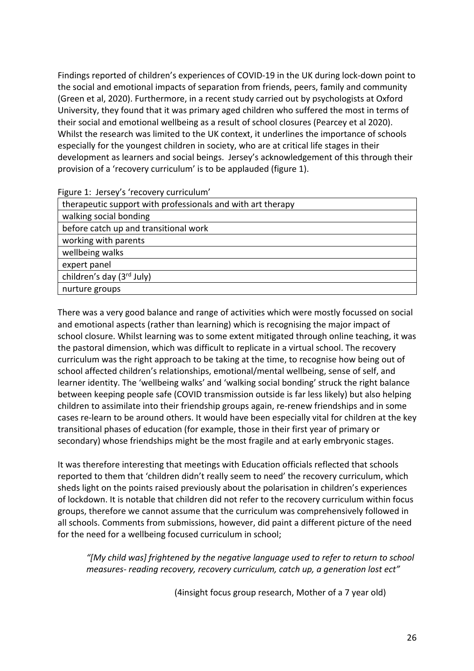Findings reported of children's experiences of COVID-19 in the UK during lock-down point to the social and emotional impacts of separation from friends, peers, family and community (Green et al, 2020). Furthermore, in a recent study carried out by psychologists at Oxford University, they found that it was primary aged children who suffered the most in terms of their social and emotional wellbeing as a result of school closures (Pearcey et al 2020). Whilst the research was limited to the UK context, it underlines the importance of schools especially for the youngest children in society, who are at critical life stages in their development as learners and social beings. Jersey's acknowledgement of this through their provision of a 'recovery curriculum' is to be applauded (figure 1).

Figure 1: Jersey's 'recovery curriculum'

| therapeutic support with professionals and with art therapy |
|-------------------------------------------------------------|
| walking social bonding                                      |
| before catch up and transitional work                       |
| working with parents                                        |
| wellbeing walks                                             |
| expert panel                                                |
| children's day (3rd July)                                   |
| nurture groups                                              |

There was a very good balance and range of activities which were mostly focussed on social and emotional aspects (rather than learning) which is recognising the major impact of school closure. Whilst learning was to some extent mitigated through online teaching, it was the pastoral dimension, which was difficult to replicate in a virtual school. The recovery curriculum was the right approach to be taking at the time, to recognise how being out of school affected children's relationships, emotional/mental wellbeing, sense of self, and learner identity. The 'wellbeing walks' and 'walking social bonding' struck the right balance between keeping people safe (COVID transmission outside is far less likely) but also helping children to assimilate into their friendship groups again, re-renew friendships and in some cases re-learn to be around others. It would have been especially vital for children at the key transitional phases of education (for example, those in their first year of primary or secondary) whose friendships might be the most fragile and at early embryonic stages.

It was therefore interesting that meetings with Education officials reflected that schools reported to them that 'children didn't really seem to need' the recovery curriculum, which sheds light on the points raised previously about the polarisation in children's experiences of lockdown. It is notable that children did not refer to the recovery curriculum within focus groups, therefore we cannot assume that the curriculum was comprehensively followed in all schools. Comments from submissions, however, did paint a different picture of the need for the need for a wellbeing focused curriculum in school;

*"[My child was] frightened by the negative language used to refer to return to school measures- reading recovery, recovery curriculum, catch up, a generation lost ect"*

(4insight focus group research, Mother of a 7 year old)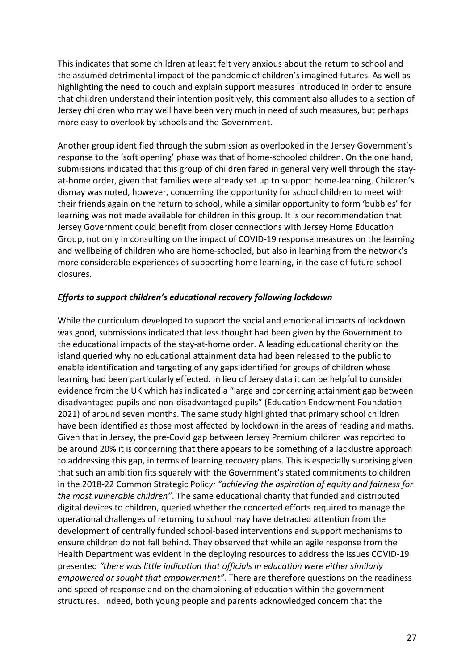This indicates that some children at least felt very anxious about the return to school and the assumed detrimental impact of the pandemic of children's imagined futures. As well as highlighting the need to couch and explain support measures introduced in order to ensure that children understand their intention positively, this comment also alludes to a section of Jersey children who may well have been very much in need of such measures, but perhaps more easy to overlook by schools and the Government.

Another group identified through the submission as overlooked in the Jersey Government's response to the 'soft opening' phase was that of home-schooled children. On the one hand, submissions indicated that this group of children fared in general very well through the stayat-home order, given that families were already set up to support home-learning. Children's dismay was noted, however, concerning the opportunity for school children to meet with their friends again on the return to school, while a similar opportunity to form 'bubbles' for learning was not made available for children in this group. It is our recommendation that Jersey Government could benefit from closer connections with Jersey Home Education Group, not only in consulting on the impact of COVID-19 response measures on the learning and wellbeing of children who are home-schooled, but also in learning from the network's more considerable experiences of supporting home learning, in the case of future school closures.

#### *Efforts to support children's educational recovery following lockdown*

While the curriculum developed to support the social and emotional impacts of lockdown was good, submissions indicated that less thought had been given by the Government to the educational impacts of the stay-at-home order. A leading educational charity on the island queried why no educational attainment data had been released to the public to enable identification and targeting of any gaps identified for groups of children whose learning had been particularly effected. In lieu of Jersey data it can be helpful to consider evidence from the UK which has indicated a "large and concerning attainment gap between disadvantaged pupils and non-disadvantaged pupils" (Education Endowment Foundation 2021) of around seven months. The same study highlighted that primary school children have been identified as those most affected by lockdown in the areas of reading and maths. Given that in Jersey, the pre-Covid gap between Jersey Premium children was reported to be around 20% it is concerning that there appears to be something of a lacklustre approach to addressing this gap, in terms of learning recovery plans. This is especially surprising given that such an ambition fits squarely with the Government's stated commitments to children in the 2018-22 Common Strategic Polic*y: "achieving the aspiration of equity and fairness for the most vulnerable children"*. The same educational charity that funded and distributed digital devices to children, queried whether the concerted efforts required to manage the operational challenges of returning to school may have detracted attention from the development of centrally funded school-based interventions and support mechanisms to ensure children do not fall behind. They observed that while an agile response from the Health Department was evident in the deploying resources to address the issues COVID-19 presented *"there was little indication that officials in education were either similarly empowered or sought that empowerment"*. There are therefore questions on the readiness and speed of response and on the championing of education within the government structures. Indeed, both young people and parents acknowledged concern that the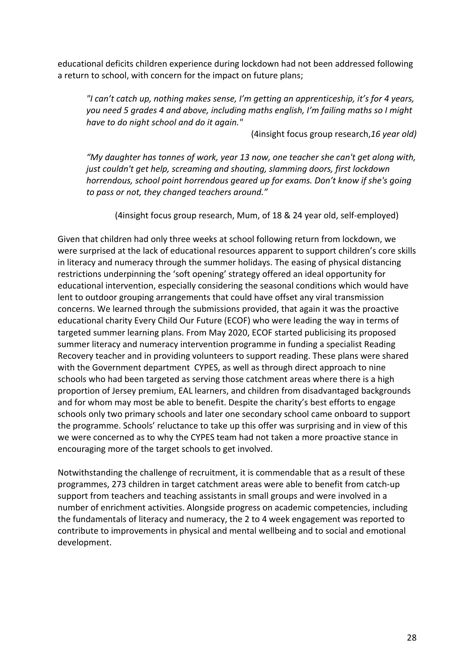educational deficits children experience during lockdown had not been addressed following a return to school, with concern for the impact on future plans;

*"I can't catch up, nothing makes sense, I'm getting an apprenticeship, it's for 4 years, you need 5 grades 4 and above, including maths english, I'm failing maths so I might have to do night school and do it again."*

(4insight focus group research,*16 year old)*

*"My daughter has tonnes of work, year 13 now, one teacher she can't get along with, just couldn't get help, screaming and shouting, slamming doors, first lockdown horrendous, school point horrendous geared up for exams. Don't know if she's going to pass or not, they changed teachers around."* 

(4insight focus group research, Mum, of 18 & 24 year old, self-employed)

Given that children had only three weeks at school following return from lockdown, we were surprised at the lack of educational resources apparent to support children's core skills in literacy and numeracy through the summer holidays. The easing of physical distancing restrictions underpinning the 'soft opening' strategy offered an ideal opportunity for educational intervention, especially considering the seasonal conditions which would have lent to outdoor grouping arrangements that could have offset any viral transmission concerns. We learned through the submissions provided, that again it was the proactive educational charity Every Child Our Future (ECOF) who were leading the way in terms of targeted summer learning plans. From May 2020, ECOF started publicising its proposed summer literacy and numeracy intervention programme in funding a specialist Reading Recovery teacher and in providing volunteers to support reading. These plans were shared with the Government department CYPES, as well as through direct approach to nine schools who had been targeted as serving those catchment areas where there is a high proportion of Jersey premium, EAL learners, and children from disadvantaged backgrounds and for whom may most be able to benefit. Despite the charity's best efforts to engage schools only two primary schools and later one secondary school came onboard to support the programme. Schools' reluctance to take up this offer was surprising and in view of this we were concerned as to why the CYPES team had not taken a more proactive stance in encouraging more of the target schools to get involved.

Notwithstanding the challenge of recruitment, it is commendable that as a result of these programmes, 273 children in target catchment areas were able to benefit from catch-up support from teachers and teaching assistants in small groups and were involved in a number of enrichment activities. Alongside progress on academic competencies, including the fundamentals of literacy and numeracy, the 2 to 4 week engagement was reported to contribute to improvements in physical and mental wellbeing and to social and emotional development.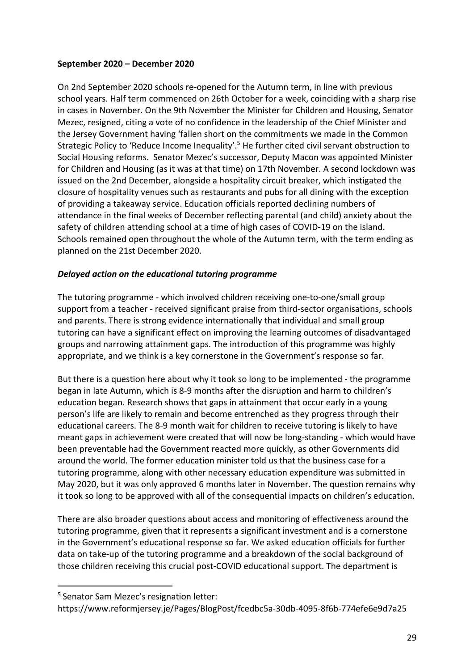### **September 2020 – December 2020**

On 2nd September 2020 schools re-opened for the Autumn term, in line with previous school years. Half term commenced on 26th October for a week, coinciding with a sharp rise in cases in November. On the 9th November the Minister for Children and Housing, Senator Mezec, resigned, citing a vote of no confidence in the leadership of the Chief Minister and the Jersey Government having 'fallen short on the commitments we made in the Common Strategic Policy to 'Reduce Income Inequality'.5 He further cited civil servant obstruction to Social Housing reforms. Senator Mezec's successor, Deputy Macon was appointed Minister for Children and Housing (as it was at that time) on 17th November. A second lockdown was issued on the 2nd December, alongside a hospitality circuit breaker, which instigated the closure of hospitality venues such as restaurants and pubs for all dining with the exception of providing a takeaway service. Education officials reported declining numbers of attendance in the final weeks of December reflecting parental (and child) anxiety about the safety of children attending school at a time of high cases of COVID-19 on the island. Schools remained open throughout the whole of the Autumn term, with the term ending as planned on the 21st December 2020.

## *Delayed action on the educational tutoring programme*

The tutoring programme - which involved children receiving one-to-one/small group support from a teacher - received significant praise from third-sector organisations, schools and parents. There is strong evidence internationally that individual and small group tutoring can have a significant effect on improving the learning outcomes of disadvantaged groups and narrowing attainment gaps. The introduction of this programme was highly appropriate, and we think is a key cornerstone in the Government's response so far.

But there is a question here about why it took so long to be implemented - the programme began in late Autumn, which is 8-9 months after the disruption and harm to children's education began. Research shows that gaps in attainment that occur early in a young person's life are likely to remain and become entrenched as they progress through their educational careers. The 8-9 month wait for children to receive tutoring is likely to have meant gaps in achievement were created that will now be long-standing - which would have been preventable had the Government reacted more quickly, as other Governments did around the world. The former education minister told us that the business case for a tutoring programme, along with other necessary education expenditure was submitted in May 2020, but it was only approved 6 months later in November. The question remains why it took so long to be approved with all of the consequential impacts on children's education.

There are also broader questions about access and monitoring of effectiveness around the tutoring programme, given that it represents a significant investment and is a cornerstone in the Government's educational response so far. We asked education officials for further data on take-up of the tutoring programme and a breakdown of the social background of those children receiving this crucial post-COVID educational support. The department is

<sup>5</sup> Senator Sam Mezec's resignation letter:

https://www.reformjersey.je/Pages/BlogPost/fcedbc5a-30db-4095-8f6b-774efe6e9d7a25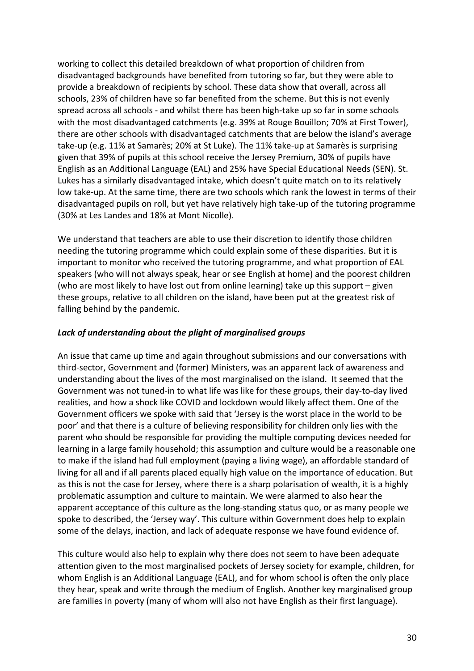working to collect this detailed breakdown of what proportion of children from disadvantaged backgrounds have benefited from tutoring so far, but they were able to provide a breakdown of recipients by school. These data show that overall, across all schools, 23% of children have so far benefited from the scheme. But this is not evenly spread across all schools - and whilst there has been high-take up so far in some schools with the most disadvantaged catchments (e.g. 39% at Rouge Bouillon; 70% at First Tower), there are other schools with disadvantaged catchments that are below the island's average take-up (e.g. 11% at Samarès; 20% at St Luke). The 11% take-up at Samarès is surprising given that 39% of pupils at this school receive the Jersey Premium, 30% of pupils have English as an Additional Language (EAL) and 25% have Special Educational Needs (SEN). St. Lukes has a similarly disadvantaged intake, which doesn't quite match on to its relatively low take-up. At the same time, there are two schools which rank the lowest in terms of their disadvantaged pupils on roll, but yet have relatively high take-up of the tutoring programme (30% at Les Landes and 18% at Mont Nicolle).

We understand that teachers are able to use their discretion to identify those children needing the tutoring programme which could explain some of these disparities. But it is important to monitor who received the tutoring programme, and what proportion of EAL speakers (who will not always speak, hear or see English at home) and the poorest children (who are most likely to have lost out from online learning) take up this support – given these groups, relative to all children on the island, have been put at the greatest risk of falling behind by the pandemic.

### *Lack of understanding about the plight of marginalised groups*

An issue that came up time and again throughout submissions and our conversations with third-sector, Government and (former) Ministers, was an apparent lack of awareness and understanding about the lives of the most marginalised on the island. It seemed that the Government was not tuned-in to what life was like for these groups, their day-to-day lived realities, and how a shock like COVID and lockdown would likely affect them. One of the Government officers we spoke with said that 'Jersey is the worst place in the world to be poor' and that there is a culture of believing responsibility for children only lies with the parent who should be responsible for providing the multiple computing devices needed for learning in a large family household; this assumption and culture would be a reasonable one to make if the island had full employment (paying a living wage), an affordable standard of living for all and if all parents placed equally high value on the importance of education. But as this is not the case for Jersey, where there is a sharp polarisation of wealth, it is a highly problematic assumption and culture to maintain. We were alarmed to also hear the apparent acceptance of this culture as the long-standing status quo, or as many people we spoke to described, the 'Jersey way'. This culture within Government does help to explain some of the delays, inaction, and lack of adequate response we have found evidence of.

This culture would also help to explain why there does not seem to have been adequate attention given to the most marginalised pockets of Jersey society for example, children, for whom English is an Additional Language (EAL), and for whom school is often the only place they hear, speak and write through the medium of English. Another key marginalised group are families in poverty (many of whom will also not have English as their first language).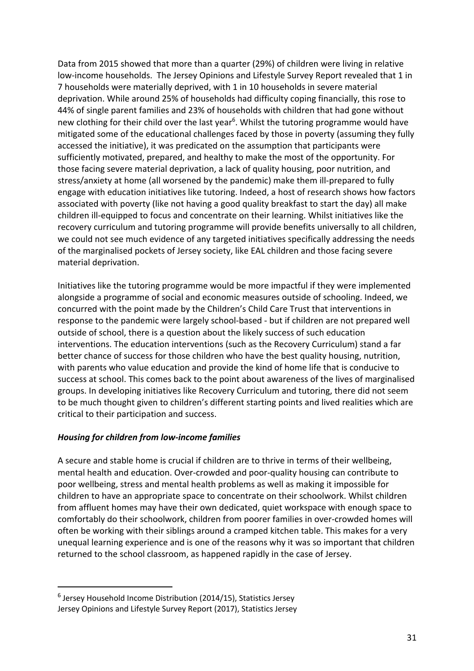Data from 2015 showed that more than a quarter (29%) of children were living in relative low-income households. The Jersey Opinions and Lifestyle Survey Report revealed that 1 in 7 households were materially deprived, with 1 in 10 households in severe material deprivation. While around 25% of households had difficulty coping financially, this rose to 44% of single parent families and 23% of households with children that had gone without new clothing for their child over the last year<sup>6</sup>. Whilst the tutoring programme would have mitigated some of the educational challenges faced by those in poverty (assuming they fully accessed the initiative), it was predicated on the assumption that participants were sufficiently motivated, prepared, and healthy to make the most of the opportunity. For those facing severe material deprivation, a lack of quality housing, poor nutrition, and stress/anxiety at home (all worsened by the pandemic) make them ill-prepared to fully engage with education initiatives like tutoring. Indeed, a host of research shows how factors associated with poverty (like not having a good quality breakfast to start the day) all make children ill-equipped to focus and concentrate on their learning. Whilst initiatives like the recovery curriculum and tutoring programme will provide benefits universally to all children, we could not see much evidence of any targeted initiatives specifically addressing the needs of the marginalised pockets of Jersey society, like EAL children and those facing severe material deprivation.

Initiatives like the tutoring programme would be more impactful if they were implemented alongside a programme of social and economic measures outside of schooling. Indeed, we concurred with the point made by the Children's Child Care Trust that interventions in response to the pandemic were largely school-based - but if children are not prepared well outside of school, there is a question about the likely success of such education interventions. The education interventions (such as the Recovery Curriculum) stand a far better chance of success for those children who have the best quality housing, nutrition, with parents who value education and provide the kind of home life that is conducive to success at school. This comes back to the point about awareness of the lives of marginalised groups. In developing initiatives like Recovery Curriculum and tutoring, there did not seem to be much thought given to children's different starting points and lived realities which are critical to their participation and success.

## *Housing for children from low-income families*

A secure and stable home is crucial if children are to thrive in terms of their wellbeing, mental health and education. Over-crowded and poor-quality housing can contribute to poor wellbeing, stress and mental health problems as well as making it impossible for children to have an appropriate space to concentrate on their schoolwork. Whilst children from affluent homes may have their own dedicated, quiet workspace with enough space to comfortably do their schoolwork, children from poorer families in over-crowded homes will often be working with their siblings around a cramped kitchen table. This makes for a very unequal learning experience and is one of the reasons why it was so important that children returned to the school classroom, as happened rapidly in the case of Jersey.

 $6$  Jersey Household Income Distribution (2014/15), Statistics Jersey Jersey Opinions and Lifestyle Survey Report (2017), Statistics Jersey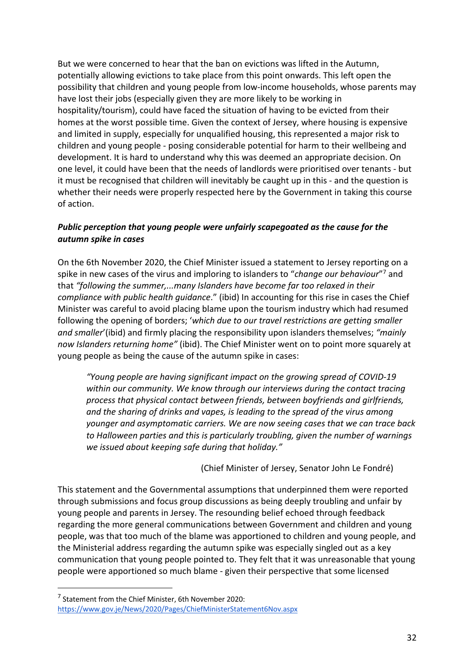But we were concerned to hear that the ban on evictions was lifted in the Autumn, potentially allowing evictions to take place from this point onwards. This left open the possibility that children and young people from low-income households, whose parents may have lost their jobs (especially given they are more likely to be working in hospitality/tourism), could have faced the situation of having to be evicted from their homes at the worst possible time. Given the context of Jersey, where housing is expensive and limited in supply, especially for unqualified housing, this represented a major risk to children and young people - posing considerable potential for harm to their wellbeing and development. It is hard to understand why this was deemed an appropriate decision. On one level, it could have been that the needs of landlords were prioritised over tenants - but it must be recognised that children will inevitably be caught up in this - and the question is whether their needs were properly respected here by the Government in taking this course of action.

# *Public perception that young people were unfairly scapegoated as the cause for the autumn spike in cases*

On the 6th November 2020, the Chief Minister issued a statement to Jersey reporting on a spike in new cases of the virus and imploring to islanders to "*change our behaviour*"7 and that *"following the summer,...many Islanders have become far too relaxed in their compliance with public health guidance*." (ibid) In accounting for this rise in cases the Chief Minister was careful to avoid placing blame upon the tourism industry which had resumed following the opening of borders; '*which due to our travel restrictions are getting smaller and smaller*'(ibid) and firmly placing the responsibility upon islanders themselves; *"mainly now Islanders returning home"* (ibid). The Chief Minister went on to point more squarely at young people as being the cause of the autumn spike in cases:

*"Young people are having significant impact on the growing spread of COVID-19 within our community. We know through our interviews during the contact tracing process that physical contact between friends, between boyfriends and girlfriends, and the sharing of drinks and vapes, is leading to the spread of the virus among younger and asymptomatic carriers. We are now seeing cases that we can trace back to Halloween parties and this is particularly troubling, given the number of warnings we issued about keeping safe during that holiday."*

(Chief Minister of Jersey, Senator John Le Fondré)

This statement and the Governmental assumptions that underpinned them were reported through submissions and focus group discussions as being deeply troubling and unfair by young people and parents in Jersey. The resounding belief echoed through feedback regarding the more general communications between Government and children and young people, was that too much of the blame was apportioned to children and young people, and the Ministerial address regarding the autumn spike was especially singled out as a key communication that young people pointed to. They felt that it was unreasonable that young people were apportioned so much blame - given their perspective that some licensed

<sup>7</sup> Statement from the Chief Minister, 6th November 2020: https://www.gov.je/News/2020/Pages/ChiefMinisterStatement6Nov.aspx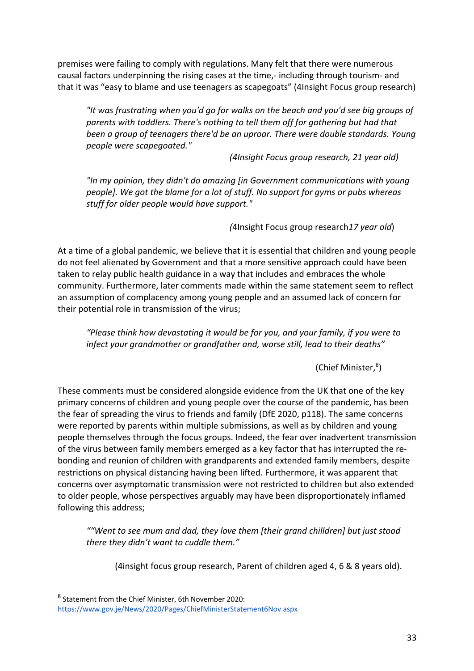premises were failing to comply with regulations. Many felt that there were numerous causal factors underpinning the rising cases at the time,- including through tourism- and that it was "easy to blame and use teenagers as scapegoats" (4Insight Focus group research)

*"It was frustrating when you'd go for walks on the beach and you'd see big groups of parents with toddlers. There's nothing to tell them off for gathering but had that been a group of teenagers there'd be an uproar. There were double standards. Young people were scapegoated."* 

*(4Insight Focus group research, 21 year old)*

*"In my opinion, they didn't do amazing [in Government communications with young people]. We got the blame for a lot of stuff. No support for gyms or pubs whereas stuff for older people would have support."* 

*(*4Insight Focus group research*17 year old*)

At a time of a global pandemic, we believe that it is essential that children and young people do not feel alienated by Government and that a more sensitive approach could have been taken to relay public health guidance in a way that includes and embraces the whole community. Furthermore, later comments made within the same statement seem to reflect an assumption of complacency among young people and an assumed lack of concern for their potential role in transmission of the virus;

*"Please think how devastating it would be for you, and your family, if you were to infect your grandmother or grandfather and, worse still, lead to their deaths"*

(Chief Minister,8)

These comments must be considered alongside evidence from the UK that one of the key primary concerns of children and young people over the course of the pandemic, has been the fear of spreading the virus to friends and family (DfE 2020, p118). The same concerns were reported by parents within multiple submissions, as well as by children and young people themselves through the focus groups. Indeed, the fear over inadvertent transmission of the virus between family members emerged as a key factor that has interrupted the rebonding and reunion of children with grandparents and extended family members, despite restrictions on physical distancing having been lifted. Furthermore, it was apparent that concerns over asymptomatic transmission were not restricted to children but also extended to older people, whose perspectives arguably may have been disproportionately inflamed following this address;

*""Went to see mum and dad, they love them [their grand chilldren] but just stood there they didn't want to cuddle them."* 

(4insight focus group research, Parent of children aged 4, 6 & 8 years old).

<sup>8</sup> Statement from the Chief Minister, 6th November 2020: https://www.gov.je/News/2020/Pages/ChiefMinisterStatement6Nov.aspx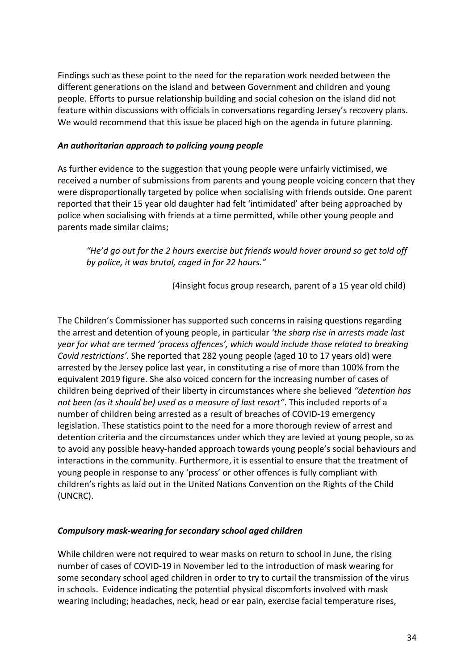Findings such as these point to the need for the reparation work needed between the different generations on the island and between Government and children and young people. Efforts to pursue relationship building and social cohesion on the island did not feature within discussions with officials in conversations regarding Jersey's recovery plans. We would recommend that this issue be placed high on the agenda in future planning.

#### *An authoritarian approach to policing young people*

As further evidence to the suggestion that young people were unfairly victimised, we received a number of submissions from parents and young people voicing concern that they were disproportionally targeted by police when socialising with friends outside. One parent reported that their 15 year old daughter had felt 'intimidated' after being approached by police when socialising with friends at a time permitted, while other young people and parents made similar claims;

*"He'd go out for the 2 hours exercise but friends would hover around so get told off by police, it was brutal, caged in for 22 hours."* 

(4insight focus group research, parent of a 15 year old child)

The Children's Commissioner has supported such concerns in raising questions regarding the arrest and detention of young people, in particular *'the sharp rise in arrests made last year for what are termed 'process offences', which would include those related to breaking Covid restrictions'.* She reported that 282 young people (aged 10 to 17 years old) were arrested by the Jersey police last year, in constituting a rise of more than 100% from the equivalent 2019 figure. She also voiced concern for the increasing number of cases of children being deprived of their liberty in circumstances where she believed *"detention has not been (as it should be) used as a measure of last resort"*. This included reports of a number of children being arrested as a result of breaches of COVID-19 emergency legislation. These statistics point to the need for a more thorough review of arrest and detention criteria and the circumstances under which they are levied at young people, so as to avoid any possible heavy-handed approach towards young people's social behaviours and interactions in the community. Furthermore, it is essential to ensure that the treatment of young people in response to any 'process' or other offences is fully compliant with children's rights as laid out in the United Nations Convention on the Rights of the Child (UNCRC).

## *Compulsory mask-wearing for secondary school aged children*

While children were not required to wear masks on return to school in June, the rising number of cases of COVID-19 in November led to the introduction of mask wearing for some secondary school aged children in order to try to curtail the transmission of the virus in schools. Evidence indicating the potential physical discomforts involved with mask wearing including; headaches, neck, head or ear pain, exercise facial temperature rises,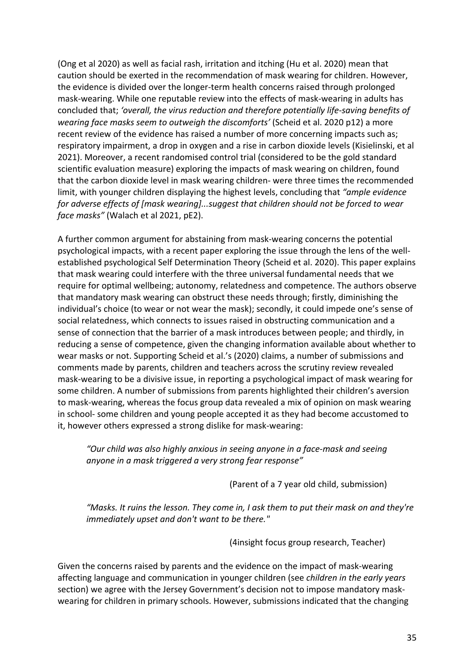(Ong et al 2020) as well as facial rash, irritation and itching (Hu et al. 2020) mean that caution should be exerted in the recommendation of mask wearing for children. However, the evidence is divided over the longer-term health concerns raised through prolonged mask-wearing. While one reputable review into the effects of mask-wearing in adults has concluded that; *'overall, the virus reduction and therefore potentially life-saving benefits of wearing face masks seem to outweigh the discomforts'* (Scheid et al. 2020 p12) a more recent review of the evidence has raised a number of more concerning impacts such as; respiratory impairment, a drop in oxygen and a rise in carbon dioxide levels (Kisielinski, et al 2021). Moreover, a recent randomised control trial (considered to be the gold standard scientific evaluation measure) exploring the impacts of mask wearing on children, found that the carbon dioxide level in mask wearing children- were three times the recommended limit, with younger children displaying the highest levels, concluding that *"ample evidence for adverse effects of [mask wearing]...suggest that children should not be forced to wear face masks"* (Walach et al 2021, pE2).

A further common argument for abstaining from mask-wearing concerns the potential psychological impacts, with a recent paper exploring the issue through the lens of the wellestablished psychological Self Determination Theory (Scheid et al. 2020). This paper explains that mask wearing could interfere with the three universal fundamental needs that we require for optimal wellbeing; autonomy, relatedness and competence. The authors observe that mandatory mask wearing can obstruct these needs through; firstly, diminishing the individual's choice (to wear or not wear the mask); secondly, it could impede one's sense of social relatedness, which connects to issues raised in obstructing communication and a sense of connection that the barrier of a mask introduces between people; and thirdly, in reducing a sense of competence, given the changing information available about whether to wear masks or not. Supporting Scheid et al.'s (2020) claims, a number of submissions and comments made by parents, children and teachers across the scrutiny review revealed mask-wearing to be a divisive issue, in reporting a psychological impact of mask wearing for some children. A number of submissions from parents highlighted their children's aversion to mask-wearing, whereas the focus group data revealed a mix of opinion on mask wearing in school- some children and young people accepted it as they had become accustomed to it, however others expressed a strong dislike for mask-wearing:

*"Our child was also highly anxious in seeing anyone in a face-mask and seeing anyone in a mask triggered a very strong fear response"* 

(Parent of a 7 year old child, submission)

*"Masks. It ruins the lesson. They come in, I ask them to put their mask on and they're immediately upset and don't want to be there."*

(4insight focus group research, Teacher)

Given the concerns raised by parents and the evidence on the impact of mask-wearing affecting language and communication in younger children (see *children in the early years* section) we agree with the Jersey Government's decision not to impose mandatory maskwearing for children in primary schools. However, submissions indicated that the changing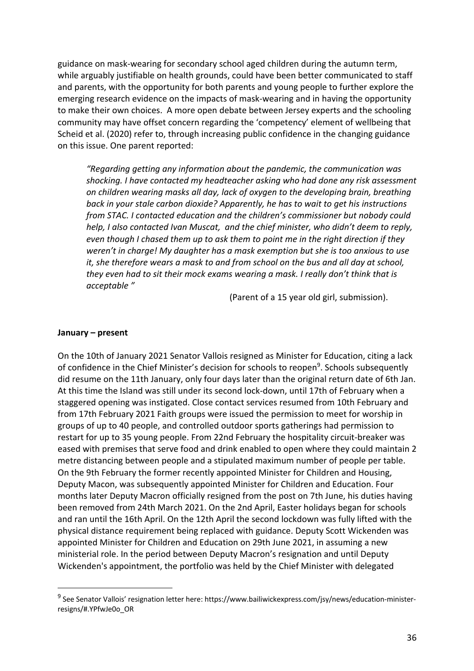guidance on mask-wearing for secondary school aged children during the autumn term, while arguably justifiable on health grounds, could have been better communicated to staff and parents, with the opportunity for both parents and young people to further explore the emerging research evidence on the impacts of mask-wearing and in having the opportunity to make their own choices. A more open debate between Jersey experts and the schooling community may have offset concern regarding the 'competency' element of wellbeing that Scheid et al. (2020) refer to, through increasing public confidence in the changing guidance on this issue. One parent reported:

*"Regarding getting any information about the pandemic, the communication was shocking. I have contacted my headteacher asking who had done any risk assessment on children wearing masks all day, lack of oxygen to the developing brain, breathing back in your stale carbon dioxide? Apparently, he has to wait to get his instructions from STAC. I contacted education and the children's commissioner but nobody could help, I also contacted Ivan Muscat, and the chief minister, who didn't deem to reply, even though I chased them up to ask them to point me in the right direction if they weren't in charge! My daughter has a mask exemption but she is too anxious to use it, she therefore wears a mask to and from school on the bus and all day at school, they even had to sit their mock exams wearing a mask. I really don't think that is acceptable "* 

(Parent of a 15 year old girl, submission).

#### **January – present**

On the 10th of January 2021 Senator Vallois resigned as Minister for Education, citing a lack of confidence in the Chief Minister's decision for schools to reopen<sup>9</sup>. Schools subsequently did resume on the 11th January, only four days later than the original return date of 6th Jan. At this time the Island was still under its second lock-down, until 17th of February when a staggered opening was instigated. Close contact services resumed from 10th February and from 17th February 2021 Faith groups were issued the permission to meet for worship in groups of up to 40 people, and controlled outdoor sports gatherings had permission to restart for up to 35 young people. From 22nd February the hospitality circuit-breaker was eased with premises that serve food and drink enabled to open where they could maintain 2 metre distancing between people and a stipulated maximum number of people per table. On the 9th February the former recently appointed Minister for Children and Housing, Deputy Macon, was subsequently appointed Minister for Children and Education. Four months later Deputy Macron officially resigned from the post on 7th June, his duties having been removed from 24th March 2021. On the 2nd April, Easter holidays began for schools and ran until the 16th April. On the 12th April the second lockdown was fully lifted with the physical distance requirement being replaced with guidance. Deputy Scott Wickenden was appointed Minister for Children and Education on 29th June 2021, in assuming a new ministerial role. In the period between Deputy Macron's resignation and until Deputy Wickenden's appointment, the portfolio was held by the Chief Minister with delegated

<sup>9</sup> See Senator Vallois' resignation letter here: https://www.bailiwickexpress.com/jsy/news/education-ministerresigns/#.YPfwJe0o\_OR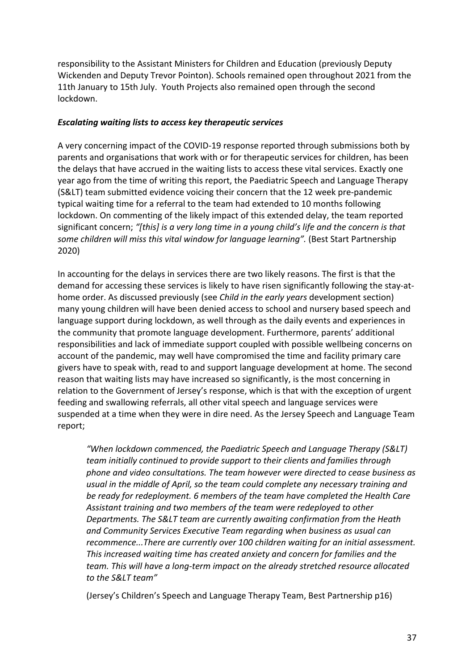responsibility to the Assistant Ministers for Children and Education (previously Deputy Wickenden and Deputy Trevor Pointon). Schools remained open throughout 2021 from the 11th January to 15th July. Youth Projects also remained open through the second lockdown.

### *Escalating waiting lists to access key therapeutic services*

A very concerning impact of the COVID-19 response reported through submissions both by parents and organisations that work with or for therapeutic services for children, has been the delays that have accrued in the waiting lists to access these vital services. Exactly one year ago from the time of writing this report, the Paediatric Speech and Language Therapy (S&LT) team submitted evidence voicing their concern that the 12 week pre-pandemic typical waiting time for a referral to the team had extended to 10 months following lockdown. On commenting of the likely impact of this extended delay, the team reported significant concern; *"[this] is a very long time in a young child's life and the concern is that*  some children will miss this vital window for language learning". (Best Start Partnership 2020)

In accounting for the delays in services there are two likely reasons. The first is that the demand for accessing these services is likely to have risen significantly following the stay-athome order. As discussed previously (see *Child in the early years* development section) many young children will have been denied access to school and nursery based speech and language support during lockdown, as well through as the daily events and experiences in the community that promote language development. Furthermore, parents' additional responsibilities and lack of immediate support coupled with possible wellbeing concerns on account of the pandemic, may well have compromised the time and facility primary care givers have to speak with, read to and support language development at home. The second reason that waiting lists may have increased so significantly, is the most concerning in relation to the Government of Jersey's response, which is that with the exception of urgent feeding and swallowing referrals, all other vital speech and language services were suspended at a time when they were in dire need. As the Jersey Speech and Language Team report;

*"When lockdown commenced, the Paediatric Speech and Language Therapy (S&LT) team initially continued to provide support to their clients and families through phone and video consultations. The team however were directed to cease business as usual in the middle of April, so the team could complete any necessary training and be ready for redeployment. 6 members of the team have completed the Health Care Assistant training and two members of the team were redeployed to other Departments. The S&LT team are currently awaiting confirmation from the Heath and Community Services Executive Team regarding when business as usual can recommence...There are currently over 100 children waiting for an initial assessment. This increased waiting time has created anxiety and concern for families and the team. This will have a long-term impact on the already stretched resource allocated*  to the S&LT team"

(Jersey's Children's Speech and Language Therapy Team, Best Partnership p16)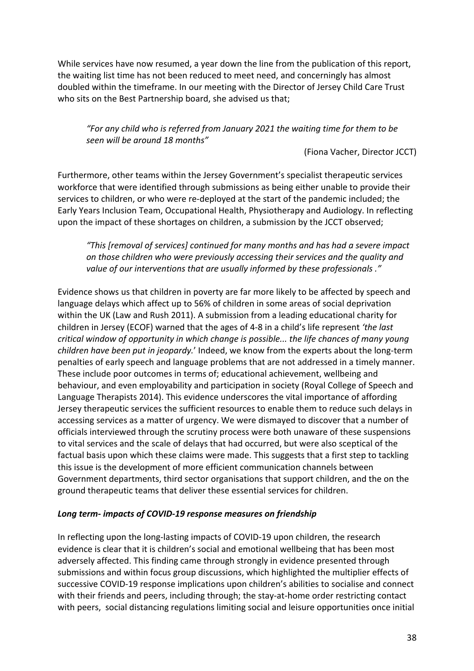While services have now resumed, a year down the line from the publication of this report, the waiting list time has not been reduced to meet need, and concerningly has almost doubled within the timeframe. In our meeting with the Director of Jersey Child Care Trust who sits on the Best Partnership board, she advised us that;

### *"For any child who is referred from January 2021 the waiting time for them to be seen will be around 18 months"*

(Fiona Vacher, Director JCCT)

Furthermore, other teams within the Jersey Government's specialist therapeutic services workforce that were identified through submissions as being either unable to provide their services to children, or who were re-deployed at the start of the pandemic included; the Early Years Inclusion Team, Occupational Health, Physiotherapy and Audiology. In reflecting upon the impact of these shortages on children, a submission by the JCCT observed;

*"This [removal of services] continued for many months and has had a severe impact on those children who were previously accessing their services and the quality and value of our interventions that are usually informed by these professionals ."* 

Evidence shows us that children in poverty are far more likely to be affected by speech and language delays which affect up to 56% of children in some areas of social deprivation within the UK (Law and Rush 2011). A submission from a leading educational charity for children in Jersey (ECOF) warned that the ages of 4-8 in a child's life represent *'the last critical window of opportunity in which change is possible... the life chances of many young children have been put in jeopardy.*' Indeed, we know from the experts about the long-term penalties of early speech and language problems that are not addressed in a timely manner. These include poor outcomes in terms of; educational achievement, wellbeing and behaviour, and even employability and participation in society (Royal College of Speech and Language Therapists 2014). This evidence underscores the vital importance of affording Jersey therapeutic services the sufficient resources to enable them to reduce such delays in accessing services as a matter of urgency. We were dismayed to discover that a number of officials interviewed through the scrutiny process were both unaware of these suspensions to vital services and the scale of delays that had occurred, but were also sceptical of the factual basis upon which these claims were made. This suggests that a first step to tackling this issue is the development of more efficient communication channels between Government departments, third sector organisations that support children, and the on the ground therapeutic teams that deliver these essential services for children.

## *Long term- impacts of COVID-19 response measures on friendship*

In reflecting upon the long-lasting impacts of COVID-19 upon children, the research evidence is clear that it is children's social and emotional wellbeing that has been most adversely affected. This finding came through strongly in evidence presented through submissions and within focus group discussions, which highlighted the multiplier effects of successive COVID-19 response implications upon children's abilities to socialise and connect with their friends and peers, including through; the stay-at-home order restricting contact with peers, social distancing regulations limiting social and leisure opportunities once initial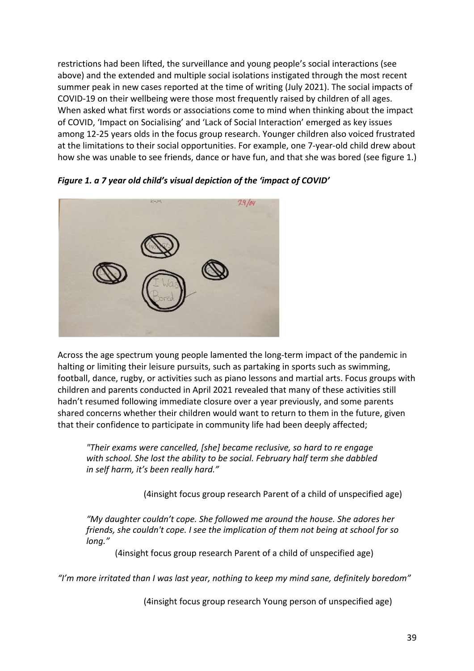restrictions had been lifted, the surveillance and young people's social interactions (see above) and the extended and multiple social isolations instigated through the most recent summer peak in new cases reported at the time of writing (July 2021). The social impacts of COVID-19 on their wellbeing were those most frequently raised by children of all ages. When asked what first words or associations come to mind when thinking about the impact of COVID, 'Impact on Socialising' and 'Lack of Social Interaction' emerged as key issues among 12-25 years olds in the focus group research. Younger children also voiced frustrated at the limitations to their social opportunities. For example, one 7-year-old child drew about how she was unable to see friends, dance or have fun, and that she was bored (see figure 1.)



*Figure 1. a 7 year old child's visual depiction of the 'impact of COVID'*

Across the age spectrum young people lamented the long-term impact of the pandemic in halting or limiting their leisure pursuits, such as partaking in sports such as swimming, football, dance, rugby, or activities such as piano lessons and martial arts. Focus groups with children and parents conducted in April 2021 revealed that many of these activities still hadn't resumed following immediate closure over a year previously, and some parents shared concerns whether their children would want to return to them in the future, given that their confidence to participate in community life had been deeply affected;

*"Their exams were cancelled, [she] became reclusive, so hard to re engage with school. She lost the ability to be social. February half term she dabbled in self harm, it's been really hard."*

(4insight focus group research Parent of a child of unspecified age)

*"My daughter couldn't cope. She followed me around the house. She adores her friends, she couldn't cope. I see the implication of them not being at school for so long."*

(4insight focus group research Parent of a child of unspecified age)

*"I'm more irritated than I was last year, nothing to keep my mind sane, definitely boredom"*

(4insight focus group research Young person of unspecified age)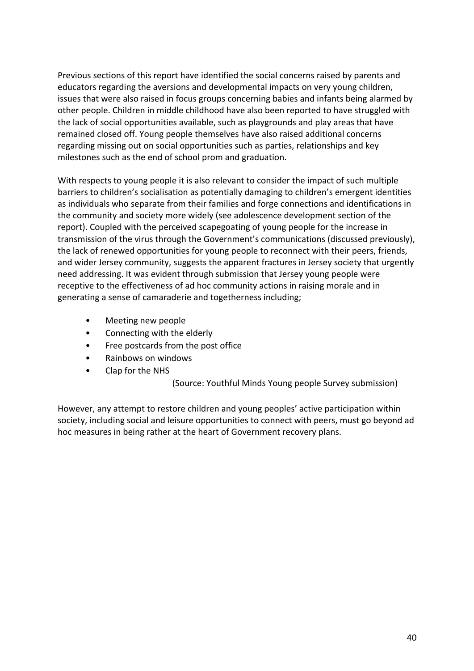Previous sections of this report have identified the social concerns raised by parents and educators regarding the aversions and developmental impacts on very young children, issues that were also raised in focus groups concerning babies and infants being alarmed by other people. Children in middle childhood have also been reported to have struggled with the lack of social opportunities available, such as playgrounds and play areas that have remained closed off. Young people themselves have also raised additional concerns regarding missing out on social opportunities such as parties, relationships and key milestones such as the end of school prom and graduation.

With respects to young people it is also relevant to consider the impact of such multiple barriers to children's socialisation as potentially damaging to children's emergent identities as individuals who separate from their families and forge connections and identifications in the community and society more widely (see adolescence development section of the report). Coupled with the perceived scapegoating of young people for the increase in transmission of the virus through the Government's communications (discussed previously), the lack of renewed opportunities for young people to reconnect with their peers, friends, and wider Jersey community, suggests the apparent fractures in Jersey society that urgently need addressing. It was evident through submission that Jersey young people were receptive to the effectiveness of ad hoc community actions in raising morale and in generating a sense of camaraderie and togetherness including;

- Meeting new people
- Connecting with the elderly
- Free postcards from the post office
- Rainbows on windows
- Clap for the NHS

(Source: Youthful Minds Young people Survey submission)

However, any attempt to restore children and young peoples' active participation within society, including social and leisure opportunities to connect with peers, must go beyond ad hoc measures in being rather at the heart of Government recovery plans.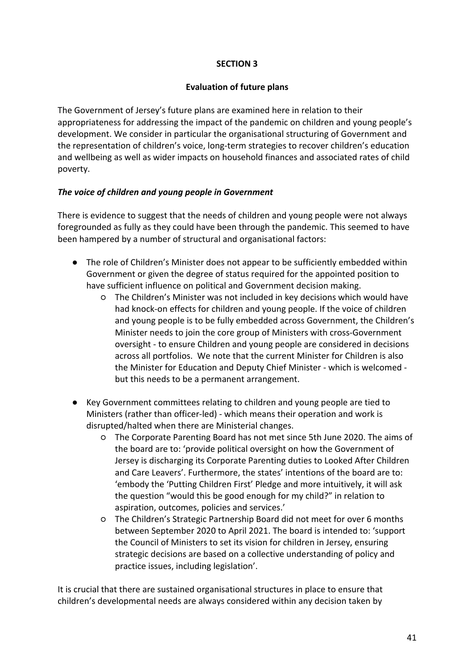### **SECTION 3**

#### **Evaluation of future plans**

The Government of Jersey's future plans are examined here in relation to their appropriateness for addressing the impact of the pandemic on children and young people's development. We consider in particular the organisational structuring of Government and the representation of children's voice, long-term strategies to recover children's education and wellbeing as well as wider impacts on household finances and associated rates of child poverty.

## *The voice of children and young people in Government*

There is evidence to suggest that the needs of children and young people were not always foregrounded as fully as they could have been through the pandemic. This seemed to have been hampered by a number of structural and organisational factors:

- The role of Children's Minister does not appear to be sufficiently embedded within Government or given the degree of status required for the appointed position to have sufficient influence on political and Government decision making.
	- The Children's Minister was not included in key decisions which would have had knock-on effects for children and young people. If the voice of children and young people is to be fully embedded across Government, the Children's Minister needs to join the core group of Ministers with cross-Government oversight - to ensure Children and young people are considered in decisions across all portfolios. We note that the current Minister for Children is also the Minister for Education and Deputy Chief Minister - which is welcomed but this needs to be a permanent arrangement.
- Key Government committees relating to children and young people are tied to Ministers (rather than officer-led) - which means their operation and work is disrupted/halted when there are Ministerial changes.
	- The Corporate Parenting Board has not met since 5th June 2020. The aims of the board are to: 'provide political oversight on how the Government of Jersey is discharging its Corporate Parenting duties to Looked After Children and Care Leavers'. Furthermore, the states' intentions of the board are to: 'embody the 'Putting Children First' Pledge and more intuitively, it will ask the question "would this be good enough for my child?" in relation to aspiration, outcomes, policies and services.'
	- The Children's Strategic Partnership Board did not meet for over 6 months between September 2020 to April 2021. The board is intended to: 'support the Council of Ministers to set its vision for children in Jersey, ensuring strategic decisions are based on a collective understanding of policy and practice issues, including legislation'.

It is crucial that there are sustained organisational structures in place to ensure that children's developmental needs are always considered within any decision taken by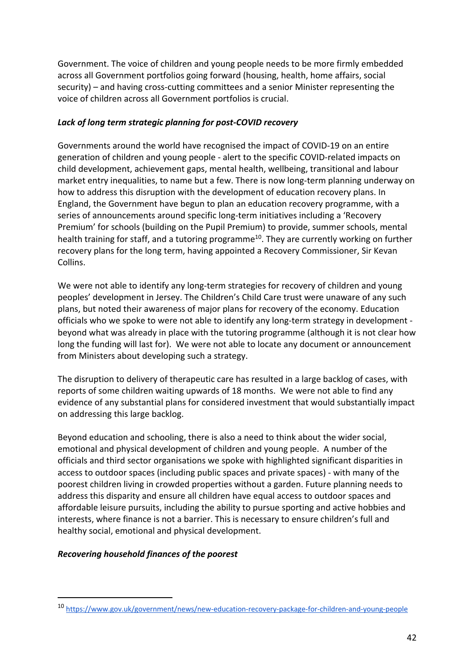Government. The voice of children and young people needs to be more firmly embedded across all Government portfolios going forward (housing, health, home affairs, social security) – and having cross-cutting committees and a senior Minister representing the voice of children across all Government portfolios is crucial.

## *Lack of long term strategic planning for post-COVID recovery*

Governments around the world have recognised the impact of COVID-19 on an entire generation of children and young people - alert to the specific COVID-related impacts on child development, achievement gaps, mental health, wellbeing, transitional and labour market entry inequalities, to name but a few. There is now long-term planning underway on how to address this disruption with the development of education recovery plans. In England, the Government have begun to plan an education recovery programme, with a series of announcements around specific long-term initiatives including a 'Recovery Premium' for schools (building on the Pupil Premium) to provide, summer schools, mental health training for staff, and a tutoring programme<sup>10</sup>. They are currently working on further recovery plans for the long term, having appointed a Recovery Commissioner, Sir Kevan Collins.

We were not able to identify any long-term strategies for recovery of children and young peoples' development in Jersey. The Children's Child Care trust were unaware of any such plans, but noted their awareness of major plans for recovery of the economy. Education officials who we spoke to were not able to identify any long-term strategy in development beyond what was already in place with the tutoring programme (although it is not clear how long the funding will last for). We were not able to locate any document or announcement from Ministers about developing such a strategy.

The disruption to delivery of therapeutic care has resulted in a large backlog of cases, with reports of some children waiting upwards of 18 months. We were not able to find any evidence of any substantial plans for considered investment that would substantially impact on addressing this large backlog.

Beyond education and schooling, there is also a need to think about the wider social, emotional and physical development of children and young people. A number of the officials and third sector organisations we spoke with highlighted significant disparities in access to outdoor spaces (including public spaces and private spaces) - with many of the poorest children living in crowded properties without a garden. Future planning needs to address this disparity and ensure all children have equal access to outdoor spaces and affordable leisure pursuits, including the ability to pursue sporting and active hobbies and interests, where finance is not a barrier. This is necessary to ensure children's full and healthy social, emotional and physical development.

## *Recovering household finances of the poorest*

<sup>10</sup> https://www.gov.uk/government/news/new-education-recovery-package-for-children-and-young-people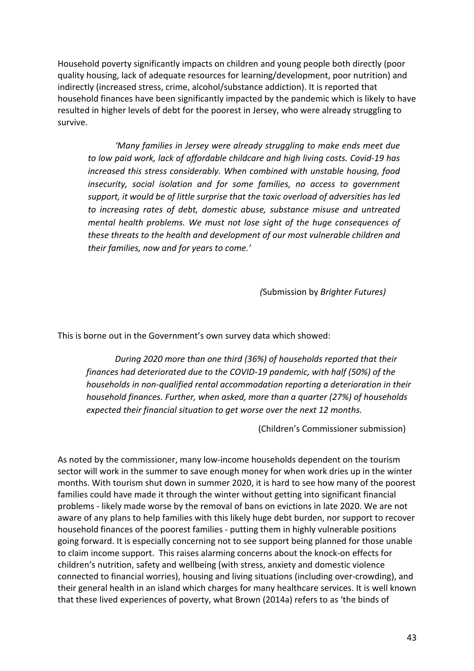Household poverty significantly impacts on children and young people both directly (poor quality housing, lack of adequate resources for learning/development, poor nutrition) and indirectly (increased stress, crime, alcohol/substance addiction). It is reported that household finances have been significantly impacted by the pandemic which is likely to have resulted in higher levels of debt for the poorest in Jersey, who were already struggling to survive.

*'Many families in Jersey were already struggling to make ends meet due to low paid work, lack of affordable childcare and high living costs. Covid-19 has increased this stress considerably. When combined with unstable housing, food insecurity, social isolation and for some families, no access to government support, it would be of little surprise that the toxic overload of adversities has led to increasing rates of debt, domestic abuse, substance misuse and untreated mental health problems. We must not lose sight of the huge consequences of these threats to the health and development of our most vulnerable children and their families, now and for years to come.'*

*(*Submission by *Brighter Futures)*

This is borne out in the Government's own survey data which showed:

*During 2020 more than one third (36%) of households reported that their finances had deteriorated due to the COVID-19 pandemic, with half (50%) of the households in non-qualified rental accommodation reporting a deterioration in their household finances. Further, when asked, more than a quarter (27%) of households expected their financial situation to get worse over the next 12 months.*

(Children's Commissioner submission)

As noted by the commissioner, many low-income households dependent on the tourism sector will work in the summer to save enough money for when work dries up in the winter months. With tourism shut down in summer 2020, it is hard to see how many of the poorest families could have made it through the winter without getting into significant financial problems - likely made worse by the removal of bans on evictions in late 2020. We are not aware of any plans to help families with this likely huge debt burden, nor support to recover household finances of the poorest families - putting them in highly vulnerable positions going forward. It is especially concerning not to see support being planned for those unable to claim income support. This raises alarming concerns about the knock-on effects for children's nutrition, safety and wellbeing (with stress, anxiety and domestic violence connected to financial worries), housing and living situations (including over-crowding), and their general health in an island which charges for many healthcare services. It is well known that these lived experiences of poverty, what Brown (2014a) refers to as 'the binds of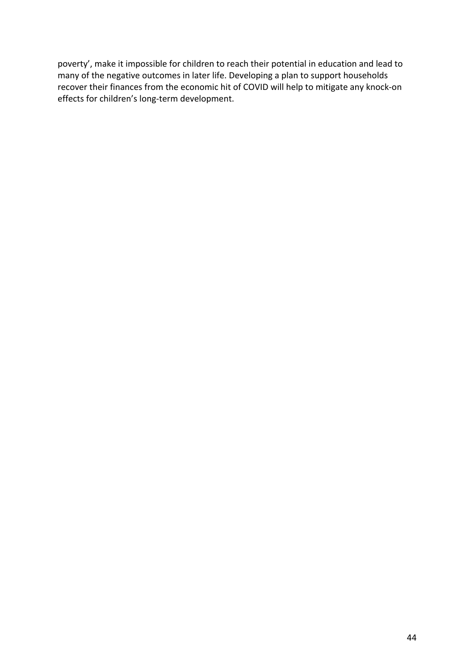poverty', make it impossible for children to reach their potential in education and lead to many of the negative outcomes in later life. Developing a plan to support households recover their finances from the economic hit of COVID will help to mitigate any knock-on effects for children's long-term development.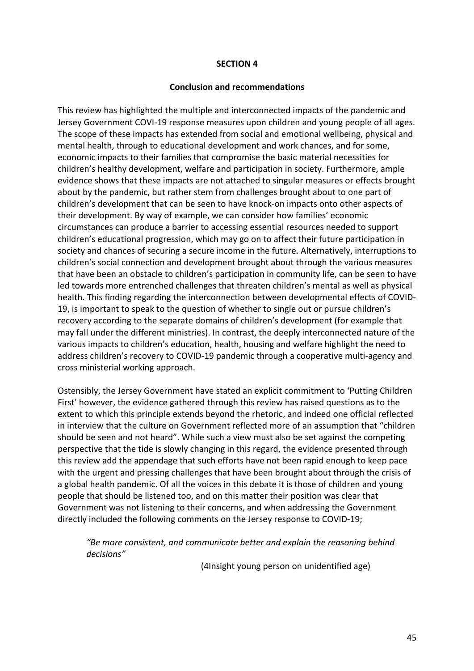#### **SECTION 4**

#### **Conclusion and recommendations**

This review has highlighted the multiple and interconnected impacts of the pandemic and Jersey Government COVI-19 response measures upon children and young people of all ages. The scope of these impacts has extended from social and emotional wellbeing, physical and mental health, through to educational development and work chances, and for some, economic impacts to their families that compromise the basic material necessities for children's healthy development, welfare and participation in society. Furthermore, ample evidence shows that these impacts are not attached to singular measures or effects brought about by the pandemic, but rather stem from challenges brought about to one part of children's development that can be seen to have knock-on impacts onto other aspects of their development. By way of example, we can consider how families' economic circumstances can produce a barrier to accessing essential resources needed to support children's educational progression, which may go on to affect their future participation in society and chances of securing a secure income in the future. Alternatively, interruptions to children's social connection and development brought about through the various measures that have been an obstacle to children's participation in community life, can be seen to have led towards more entrenched challenges that threaten children's mental as well as physical health. This finding regarding the interconnection between developmental effects of COVID-19, is important to speak to the question of whether to single out or pursue children's recovery according to the separate domains of children's development (for example that may fall under the different ministries). In contrast, the deeply interconnected nature of the various impacts to children's education, health, housing and welfare highlight the need to address children's recovery to COVID-19 pandemic through a cooperative multi-agency and cross ministerial working approach.

Ostensibly, the Jersey Government have stated an explicit commitment to 'Putting Children First' however, the evidence gathered through this review has raised questions as to the extent to which this principle extends beyond the rhetoric, and indeed one official reflected in interview that the culture on Government reflected more of an assumption that "children should be seen and not heard". While such a view must also be set against the competing perspective that the tide is slowly changing in this regard, the evidence presented through this review add the appendage that such efforts have not been rapid enough to keep pace with the urgent and pressing challenges that have been brought about through the crisis of a global health pandemic. Of all the voices in this debate it is those of children and young people that should be listened too, and on this matter their position was clear that Government was not listening to their concerns, and when addressing the Government directly included the following comments on the Jersey response to COVID-19;

*"Be more consistent, and communicate better and explain the reasoning behind decisions"*

(4Insight young person on unidentified age)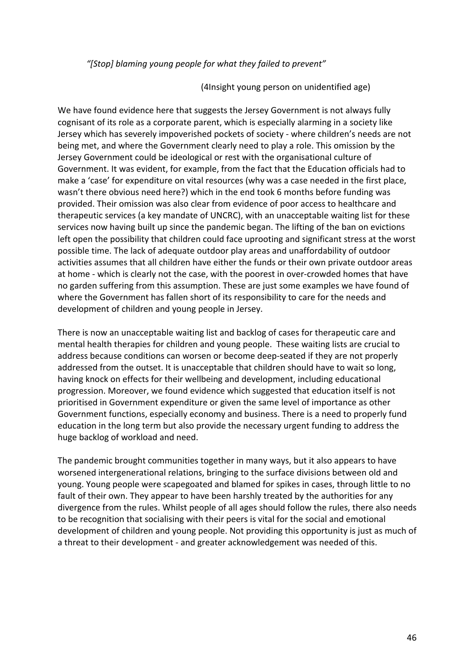#### *"[Stop] blaming young people for what they failed to prevent"*

#### (4Insight young person on unidentified age)

We have found evidence here that suggests the Jersey Government is not always fully cognisant of its role as a corporate parent, which is especially alarming in a society like Jersey which has severely impoverished pockets of society - where children's needs are not being met, and where the Government clearly need to play a role. This omission by the Jersey Government could be ideological or rest with the organisational culture of Government. It was evident, for example, from the fact that the Education officials had to make a 'case' for expenditure on vital resources (why was a case needed in the first place, wasn't there obvious need here?) which in the end took 6 months before funding was provided. Their omission was also clear from evidence of poor access to healthcare and therapeutic services (a key mandate of UNCRC), with an unacceptable waiting list for these services now having built up since the pandemic began. The lifting of the ban on evictions left open the possibility that children could face uprooting and significant stress at the worst possible time. The lack of adequate outdoor play areas and unaffordability of outdoor activities assumes that all children have either the funds or their own private outdoor areas at home - which is clearly not the case, with the poorest in over-crowded homes that have no garden suffering from this assumption. These are just some examples we have found of where the Government has fallen short of its responsibility to care for the needs and development of children and young people in Jersey.

There is now an unacceptable waiting list and backlog of cases for therapeutic care and mental health therapies for children and young people. These waiting lists are crucial to address because conditions can worsen or become deep-seated if they are not properly addressed from the outset. It is unacceptable that children should have to wait so long, having knock on effects for their wellbeing and development, including educational progression. Moreover, we found evidence which suggested that education itself is not prioritised in Government expenditure or given the same level of importance as other Government functions, especially economy and business. There is a need to properly fund education in the long term but also provide the necessary urgent funding to address the huge backlog of workload and need.

The pandemic brought communities together in many ways, but it also appears to have worsened intergenerational relations, bringing to the surface divisions between old and young. Young people were scapegoated and blamed for spikes in cases, through little to no fault of their own. They appear to have been harshly treated by the authorities for any divergence from the rules. Whilst people of all ages should follow the rules, there also needs to be recognition that socialising with their peers is vital for the social and emotional development of children and young people. Not providing this opportunity is just as much of a threat to their development - and greater acknowledgement was needed of this.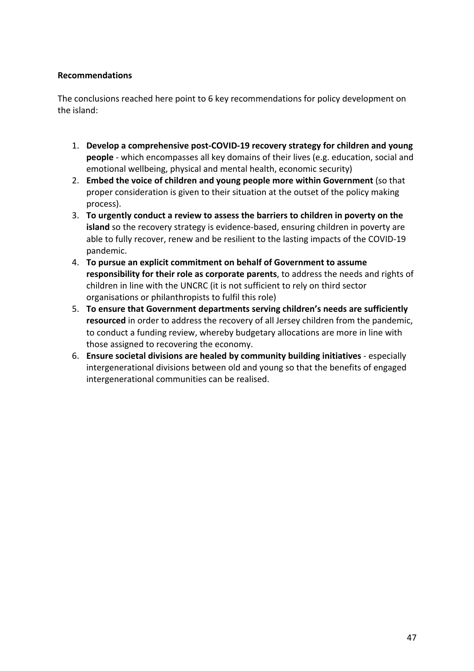## **Recommendations**

The conclusions reached here point to 6 key recommendations for policy development on the island:

- 1. **Develop a comprehensive post-COVID-19 recovery strategy for children and young people** - which encompasses all key domains of their lives (e.g. education, social and emotional wellbeing, physical and mental health, economic security)
- 2. **Embed the voice of children and young people more within Government** (so that proper consideration is given to their situation at the outset of the policy making process).
- 3. **To urgently conduct a review to assess the barriers to children in poverty on the island** so the recovery strategy is evidence-based, ensuring children in poverty are able to fully recover, renew and be resilient to the lasting impacts of the COVID-19 pandemic.
- 4. **To pursue an explicit commitment on behalf of Government to assume responsibility for their role as corporate parents**, to address the needs and rights of children in line with the UNCRC (it is not sufficient to rely on third sector organisations or philanthropists to fulfil this role)
- 5. **To ensure that Government departments serving children's needs are sufficiently resourced** in order to address the recovery of all Jersey children from the pandemic, to conduct a funding review, whereby budgetary allocations are more in line with those assigned to recovering the economy.
- 6. **Ensure societal divisions are healed by community building initiatives** especially intergenerational divisions between old and young so that the benefits of engaged intergenerational communities can be realised.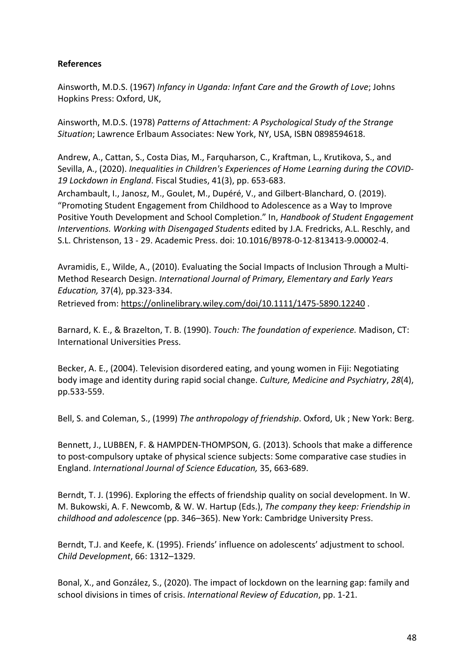### **References**

Ainsworth, M.D.S. (1967) *Infancy in Uganda: Infant Care and the Growth of Love*; Johns Hopkins Press: Oxford, UK,

Ainsworth, M.D.S. (1978) *Patterns of Attachment: A Psychological Study of the Strange Situation*; Lawrence Erlbaum Associates: New York, NY, USA, ISBN 0898594618.

Andrew, A., Cattan, S., Costa Dias, M., Farquharson, C., Kraftman, L., Krutikova, S., and Sevilla, A., (2020). *Inequalities in Children's Experiences of Home Learning during the COVID-19 Lockdown in England*. Fiscal Studies, 41(3), pp. 653-683.

Archambault, I., Janosz, M., Goulet, M., Dupéré, V., and Gilbert-Blanchard, O. (2019). "Promoting Student Engagement from Childhood to Adolescence as a Way to Improve Positive Youth Development and School Completion." In, *Handbook of Student Engagement Interventions. Working with Disengaged Students* edited by J.A. Fredricks, A.L. Reschly, and S.L. Christenson, 13 - 29. Academic Press. doi: 10.1016/B978-0-12-813413-9.00002-4.

Avramidis, E., Wilde, A., (2010). Evaluating the Social Impacts of Inclusion Through a Multi-Method Research Design. *International Journal of Primary, Elementary and Early Years Education,* 37(4), pp.323-334.

Retrieved from: https://onlinelibrary.wiley.com/doi/10.1111/1475-5890.12240 .

Barnard, K. E., & Brazelton, T. B. (1990). *Touch: The foundation of experience.* Madison, CT: International Universities Press.

Becker, A. E., (2004). Television disordered eating, and young women in Fiji: Negotiating body image and identity during rapid social change. *Culture, Medicine and Psychiatry*, *28*(4), pp.533-559.

Bell, S. and Coleman, S., (1999) *The anthropology of friendship*. Oxford, Uk ; New York: Berg.

Bennett, J., LUBBEN, F. & HAMPDEN-THOMPSON, G. (2013). Schools that make a difference to post-compulsory uptake of physical science subjects: Some comparative case studies in England. *International Journal of Science Education,* 35, 663-689.

Berndt, T. J. (1996). Exploring the effects of friendship quality on social development. In W. M. Bukowski, A. F. Newcomb, & W. W. Hartup (Eds.), *The company they keep: Friendship in childhood and adolescence* (pp. 346–365). New York: Cambridge University Press.

Berndt, T.J. and Keefe, K. (1995). Friends' influence on adolescents' adjustment to school. *Child Development*, 66: 1312–1329.

Bonal, X., and González, S., (2020). The impact of lockdown on the learning gap: family and school divisions in times of crisis. *International Review of Education*, pp. 1-21.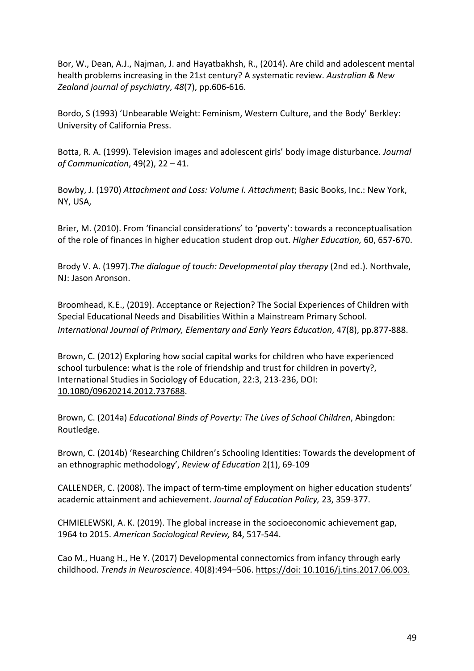Bor, W., Dean, A.J., Najman, J. and Hayatbakhsh, R., (2014). Are child and adolescent mental health problems increasing in the 21st century? A systematic review. *Australian & New Zealand journal of psychiatry*, *48*(7), pp.606-616.

Bordo, S (1993) 'Unbearable Weight: Feminism, Western Culture, and the Body' Berkley: University of California Press.

Botta, R. A. (1999). Television images and adolescent girls' body image disturbance. *Journal of Communication*, 49(2), 22 – 41.

Bowby, J. (1970) *Attachment and Loss: Volume I. Attachment*; Basic Books, Inc.: New York, NY, USA,

Brier, M. (2010). From 'financial considerations' to 'poverty': towards a reconceptualisation of the role of finances in higher education student drop out. *Higher Education,* 60, 657-670.

Brody V. A. (1997).*The dialogue of touch: Developmental play therapy* (2nd ed.). Northvale, NJ: Jason Aronson.

Broomhead, K.E., (2019). Acceptance or Rejection? The Social Experiences of Children with Special Educational Needs and Disabilities Within a Mainstream Primary School. *International Journal of Primary, Elementary and Early Years Education*, 47(8), pp.877-888.

Brown, C. (2012) Exploring how social capital works for children who have experienced school turbulence: what is the role of friendship and trust for children in poverty?, International Studies in Sociology of Education, 22:3, 213-236, DOI: 10.1080/09620214.2012.737688.

Brown, C. (2014a) *Educational Binds of Poverty: The Lives of School Children*, Abingdon: Routledge.

Brown, C. (2014b) 'Researching Children's Schooling Identities: Towards the development of an ethnographic methodology', *Review of Education* 2(1), 69-109

CALLENDER, C. (2008). The impact of term-time employment on higher education students' academic attainment and achievement. *Journal of Education Policy,* 23, 359-377.

CHMIELEWSKI, A. K. (2019). The global increase in the socioeconomic achievement gap, 1964 to 2015. *American Sociological Review,* 84, 517-544.

Cao M., Huang H., He Y. (2017) Developmental connectomics from infancy through early childhood. *Trends in Neuroscience*. 40(8):494–506. https://doi: 10.1016/j.tins.2017.06.003.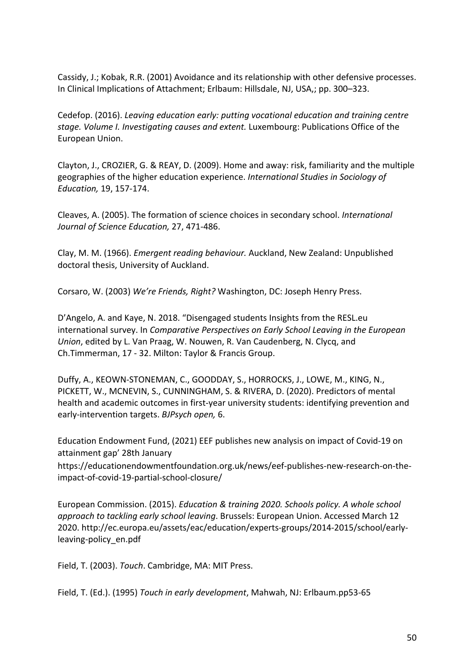Cassidy, J.; Kobak, R.R. (2001) Avoidance and its relationship with other defensive processes. In Clinical Implications of Attachment; Erlbaum: Hillsdale, NJ, USA,; pp. 300–323.

Cedefop. (2016). *Leaving education early: putting vocational education and training centre stage. Volume I. Investigating causes and extent.* Luxembourg: Publications Office of the European Union.

Clayton, J., CROZIER, G. & REAY, D. (2009). Home and away: risk, familiarity and the multiple geographies of the higher education experience. *International Studies in Sociology of Education,* 19, 157-174.

Cleaves, A. (2005). The formation of science choices in secondary school. *International Journal of Science Education,* 27, 471-486.

Clay, M. M. (1966). *Emergent reading behaviour.* Auckland, New Zealand: Unpublished doctoral thesis, University of Auckland.

Corsaro, W. (2003) *We're Friends, Right?* Washington, DC: Joseph Henry Press.

D'Angelo, A. and Kaye, N. 2018. "Disengaged students Insights from the RESL.eu international survey. In *Comparative Perspectives on Early School Leaving in the European Union*, edited by L. Van Praag, W. Nouwen, R. Van Caudenberg, N. Clycq, and Ch.Timmerman, 17 - 32. Milton: Taylor & Francis Group.

Duffy, A., KEOWN-STONEMAN, C., GOODDAY, S., HORROCKS, J., LOWE, M., KING, N., PICKETT, W., MCNEVIN, S., CUNNINGHAM, S. & RIVERA, D. (2020). Predictors of mental health and academic outcomes in first-year university students: identifying prevention and early-intervention targets. *BJPsych open,* 6.

Education Endowment Fund, (2021) EEF publishes new analysis on impact of Covid-19 on attainment gap' 28th January

https://educationendowmentfoundation.org.uk/news/eef-publishes-new-research-on-theimpact-of-covid-19-partial-school-closure/

European Commission. (2015). *Education & training 2020. Schools policy. A whole school approach to tackling early school leaving*. Brussels: European Union. Accessed March 12 2020. http://ec.europa.eu/assets/eac/education/experts-groups/2014-2015/school/earlyleaving-policy\_en.pdf

Field, T. (2003). *Touch*. Cambridge, MA: MIT Press.

Field, T. (Ed.). (1995) *Touch in early development*, Mahwah, NJ: Erlbaum.pp53-65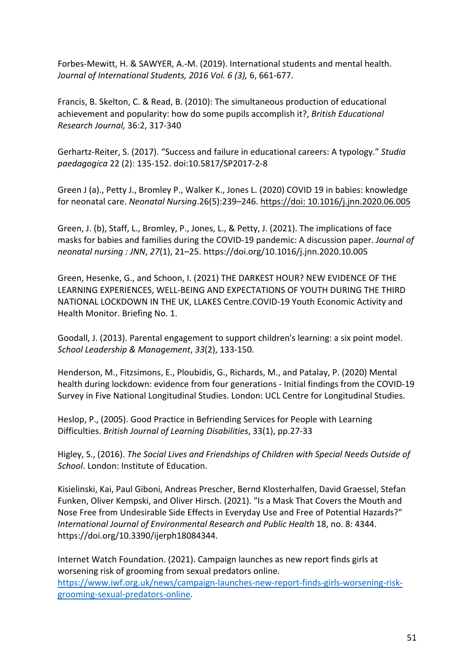Forbes-Mewitt, H. & SAWYER, A.-M. (2019). International students and mental health. *Journal of International Students, 2016 Vol. 6 (3),* 6, 661-677.

Francis, B. Skelton, C. & Read, B. (2010): The simultaneous production of educational achievement and popularity: how do some pupils accomplish it?, *British Educational Research Journal,* 36:2, 317-340

Gerhartz-Reiter, S. (2017). "Success and failure in educational careers: A typology." *Studia paedagogica* 22 (2): 135-152. doi:10.5817/SP2017-2-8

Green J (a)., Petty J., Bromley P., Walker K., Jones L. (2020) COVID 19 in babies: knowledge for neonatal care. *Neonatal Nursing*.26(5):239–246. https://doi: 10.1016/j.jnn.2020.06.005

Green, J. (b), Staff, L., Bromley, P., Jones, L., & Petty, J. (2021). The implications of face masks for babies and families during the COVID-19 pandemic: A discussion paper. *Journal of neonatal nursing : JNN*, *27*(1), 21–25. https://doi.org/10.1016/j.jnn.2020.10.005

Green, Hesenke, G., and Schoon, I. (2021) THE DARKEST HOUR? NEW EVIDENCE OF THE LEARNING EXPERIENCES, WELL-BEING AND EXPECTATIONS OF YOUTH DURING THE THIRD NATIONAL LOCKDOWN IN THE UK, LLAKES Centre.COVID-19 Youth Economic Activity and Health Monitor. Briefing No. 1.

Goodall, J. (2013). Parental engagement to support children's learning: a six point model. *School Leadership & Management*, *33*(2), 133-150.

Henderson, M., Fitzsimons, E., Ploubidis, G., Richards, M., and Patalay, P. (2020) Mental health during lockdown: evidence from four generations - Initial findings from the COVID-19 Survey in Five National Longitudinal Studies. London: UCL Centre for Longitudinal Studies.

Heslop, P., (2005). Good Practice in Befriending Services for People with Learning Difficulties. *British Journal of Learning Disabilities*, 33(1), pp.27-33

Higley, S., (2016). *The Social Lives and Friendships of Children with Special Needs Outside of School*. London: Institute of Education.

Kisielinski, Kai, Paul Giboni, Andreas Prescher, Bernd Klosterhalfen, David Graessel, Stefan Funken, Oliver Kempski, and Oliver Hirsch. (2021). "Is a Mask That Covers the Mouth and Nose Free from Undesirable Side Effects in Everyday Use and Free of Potential Hazards?" *International Journal of Environmental Research and Public Health* 18, no. 8: 4344. https://doi.org/10.3390/ijerph18084344.

Internet Watch Foundation. (2021). Campaign launches as new report finds girls at worsening risk of grooming from sexual predators online. https://www.iwf.org.uk/news/campaign-launches-new-report-finds-girls-worsening-riskgrooming-sexual-predators-online.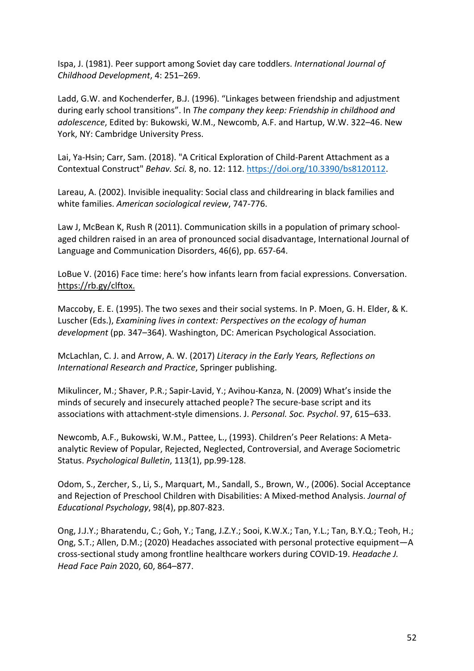Ispa, J. (1981). Peer support among Soviet day care toddlers. *International Journal of Childhood Development*, 4: 251–269.

Ladd, G.W. and Kochenderfer, B.J. (1996). "Linkages between friendship and adjustment during early school transitions". In *The company they keep: Friendship in childhood and adolescence*, Edited by: Bukowski, W.M., Newcomb, A.F. and Hartup, W.W. 322–46. New York, NY: Cambridge University Press.

Lai, Ya-Hsin; Carr, Sam. (2018). "A Critical Exploration of Child-Parent Attachment as a Contextual Construct" *Behav. Sci.* 8, no. 12: 112. https://doi.org/10.3390/bs8120112.

Lareau, A. (2002). Invisible inequality: Social class and childrearing in black families and white families. *American sociological review*, 747-776.

Law J, McBean K, Rush R (2011). Communication skills in a population of primary schoolaged children raised in an area of pronounced social disadvantage, International Journal of Language and Communication Disorders, 46(6), pp. 657-64.

LoBue V. (2016) Face time: here's how infants learn from facial expressions. Conversation. https://rb.gy/clftox.

Maccoby, E. E. (1995). The two sexes and their social systems. In P. Moen, G. H. Elder, & K. Luscher (Eds.), *Examining lives in context: Perspectives on the ecology of human development* (pp. 347–364). Washington, DC: American Psychological Association.

McLachlan, C. J. and Arrow, A. W. (2017) *Literacy in the Early Years, Reflections on International Research and Practice*, Springer publishing.

Mikulincer, M.; Shaver, P.R.; Sapir-Lavid, Y.; Avihou-Kanza, N. (2009) What's inside the minds of securely and insecurely attached people? The secure-base script and its associations with attachment-style dimensions. J. *Personal. Soc. Psychol*. 97, 615–633.

Newcomb, A.F., Bukowski, W.M., Pattee, L., (1993). Children's Peer Relations: A Metaanalytic Review of Popular, Rejected, Neglected, Controversial, and Average Sociometric Status. *Psychological Bulletin*, 113(1), pp.99-128.

Odom, S., Zercher, S., Li, S., Marquart, M., Sandall, S., Brown, W., (2006). Social Acceptance and Rejection of Preschool Children with Disabilities: A Mixed-method Analysis. *Journal of Educational Psychology*, 98(4), pp.807-823.

Ong, J.J.Y.; Bharatendu, C.; Goh, Y.; Tang, J.Z.Y.; Sooi, K.W.X.; Tan, Y.L.; Tan, B.Y.Q.; Teoh, H.; Ong, S.T.; Allen, D.M.; (2020) Headaches associated with personal protective equipment—A cross-sectional study among frontline healthcare workers during COVID-19. *Headache J. Head Face Pain* 2020, 60, 864–877.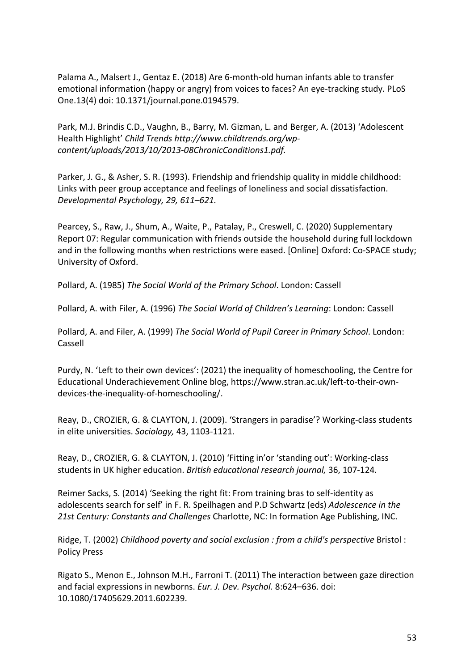Palama A., Malsert J., Gentaz E. (2018) Are 6-month-old human infants able to transfer emotional information (happy or angry) from voices to faces? An eye-tracking study. PLoS One.13(4) doi: 10.1371/journal.pone.0194579.

Park, M.J. Brindis C.D., Vaughn, B., Barry, M. Gizman, L. and Berger, A. (2013) 'Adolescent Health Highlight' *Child Trends http://www.childtrends.org/wpcontent/uploads/2013/10/2013-08ChronicConditions1.pdf.*

Parker, J. G., & Asher, S. R. (1993). Friendship and friendship quality in middle childhood: Links with peer group acceptance and feelings of loneliness and social dissatisfaction. *Developmental Psychology, 29, 611–621.*

Pearcey, S., Raw, J., Shum, A., Waite, P., Patalay, P., Creswell, C. (2020) Supplementary Report 07: Regular communication with friends outside the household during full lockdown and in the following months when restrictions were eased. [Online] Oxford: Co-SPACE study; University of Oxford.

Pollard, A. (1985) *The Social World of the Primary School*. London: Cassell

Pollard, A. with Filer, A. (1996) *The Social World of Children's Learning*: London: Cassell

Pollard, A. and Filer, A. (1999) *The Social World of Pupil Career in Primary School*. London: Cassell

Purdy, N. 'Left to their own devices': (2021) the inequality of homeschooling, the Centre for Educational Underachievement Online blog, https://www.stran.ac.uk/left-to-their-owndevices-the-inequality-of-homeschooling/.

Reay, D., CROZIER, G. & CLAYTON, J. (2009). 'Strangers in paradise'? Working-class students in elite universities. *Sociology,* 43, 1103-1121.

Reay, D., CROZIER, G. & CLAYTON, J. (2010) 'Fitting in'or 'standing out': Working-class students in UK higher education. *British educational research journal,* 36, 107-124.

Reimer Sacks, S. (2014) 'Seeking the right fit: From training bras to self-identity as adolescents search for self' in F. R. Speilhagen and P.D Schwartz (eds) *Adolescence in the 21st Century: Constants and Challenges* Charlotte, NC: In formation Age Publishing, INC.

Ridge, T. (2002) *Childhood poverty and social exclusion : from a child's perspective* Bristol : Policy Press

Rigato S., Menon E., Johnson M.H., Farroni T. (2011) The interaction between gaze direction and facial expressions in newborns. *Eur. J. Dev. Psychol.* 8:624–636. doi: 10.1080/17405629.2011.602239.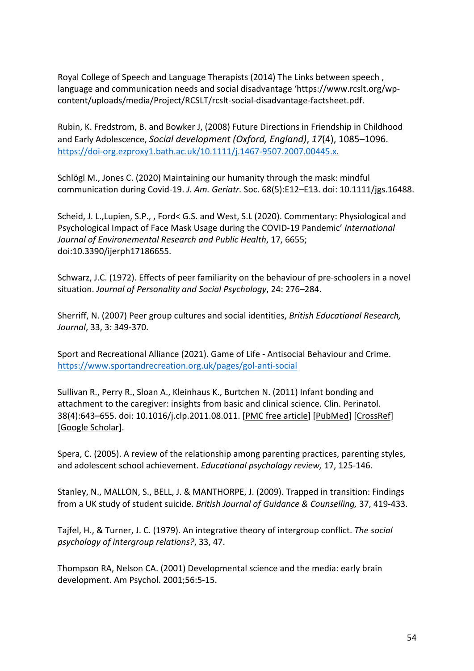Royal College of Speech and Language Therapists (2014) The Links between speech , language and communication needs and social disadvantage 'https://www.rcslt.org/wpcontent/uploads/media/Project/RCSLT/rcslt-social-disadvantage-factsheet.pdf.

Rubin, K. Fredstrom, B. and Bowker J, (2008) Future Directions in Friendship in Childhood and Early Adolescence, *Social development (Oxford, England)*, *17*(4), 1085–1096. https://doi-org.ezproxy1.bath.ac.uk/10.1111/j.1467-9507.2007.00445.x.

Schlögl M., Jones C. (2020) Maintaining our humanity through the mask: mindful communication during Covid-19. *J. Am. Geriatr.* Soc. 68(5):E12–E13. doi: 10.1111/jgs.16488.

Scheid, J. L.,Lupien, S.P., , Ford< G.S. and West, S.L (2020). Commentary: Physiological and Psychological Impact of Face Mask Usage during the COVID-19 Pandemic' *International Journal of Environemental Research and Public Health*, 17, 6655; doi:10.3390/ijerph17186655.

Schwarz, J.C. (1972). Effects of peer familiarity on the behaviour of pre-schoolers in a novel situation. *Journal of Personality and Social Psychology*, 24: 276–284.

Sherriff, N. (2007) Peer group cultures and social identities, *British Educational Research, Journal*, 33, 3: 349-370.

Sport and Recreational Alliance (2021). Game of Life - Antisocial Behaviour and Crime. https://www.sportandrecreation.org.uk/pages/gol-anti-social

Sullivan R., Perry R., Sloan A., Kleinhaus K., Burtchen N. (2011) Infant bonding and attachment to the caregiver: insights from basic and clinical science. Clin. Perinatol. 38(4):643–655. doi: 10.1016/j.clp.2011.08.011. [PMC free article] [PubMed] [CrossRef] [Google Scholar].

Spera, C. (2005). A review of the relationship among parenting practices, parenting styles, and adolescent school achievement. *Educational psychology review,* 17, 125-146.

Stanley, N., MALLON, S., BELL, J. & MANTHORPE, J. (2009). Trapped in transition: Findings from a UK study of student suicide. *British Journal of Guidance & Counselling,* 37, 419-433.

Tajfel, H., & Turner, J. C. (1979). An integrative theory of intergroup conflict. *The social psychology of intergroup relations?*, 33, 47.

Thompson RA, Nelson CA. (2001) Developmental science and the media: early brain development. Am Psychol. 2001;56:5-15.